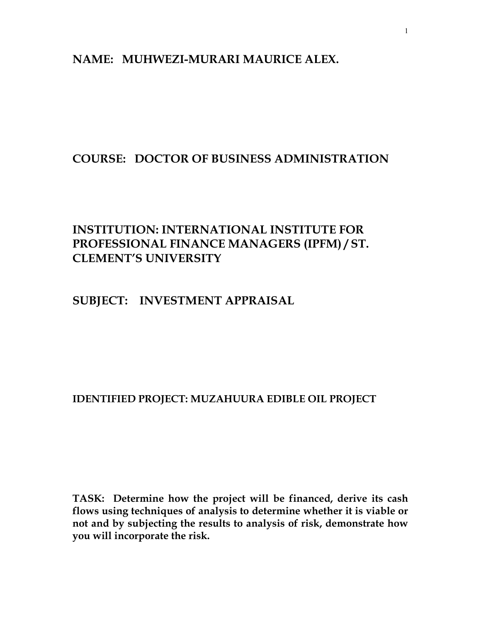# NAME: MUHWEZI-MURARI MAURICE ALEX.

# COURSE: DOCTOR OF BUSINESS ADMINISTRATION

# INSTITUTION: INTERNATIONAL INSTITUTE FOR PROFESSIONAL FINANCE MANAGERS (IPFM) / ST. CLEMENT'S UNIVERSITY

# SUBJECT: INVESTMENT APPRAISAL

# IDENTIFIED PROJECT: MUZAHUURA EDIBLE OIL PROJECT

TASK: Determine how the project will be financed, derive its cash flows using techniques of analysis to determine whether it is viable or not and by subjecting the results to analysis of risk, demonstrate how you will incorporate the risk.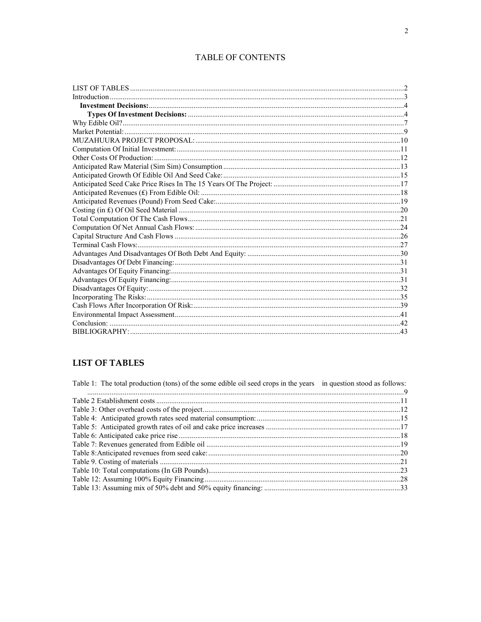# TABLE OF CONTENTS

# **LIST OF TABLES**

| Table 1: The total production (tons) of the some edible oil seed crops in the years in question stood as follows: |  |
|-------------------------------------------------------------------------------------------------------------------|--|
|                                                                                                                   |  |
|                                                                                                                   |  |
|                                                                                                                   |  |
|                                                                                                                   |  |
|                                                                                                                   |  |
|                                                                                                                   |  |
|                                                                                                                   |  |
|                                                                                                                   |  |
|                                                                                                                   |  |
|                                                                                                                   |  |
|                                                                                                                   |  |
|                                                                                                                   |  |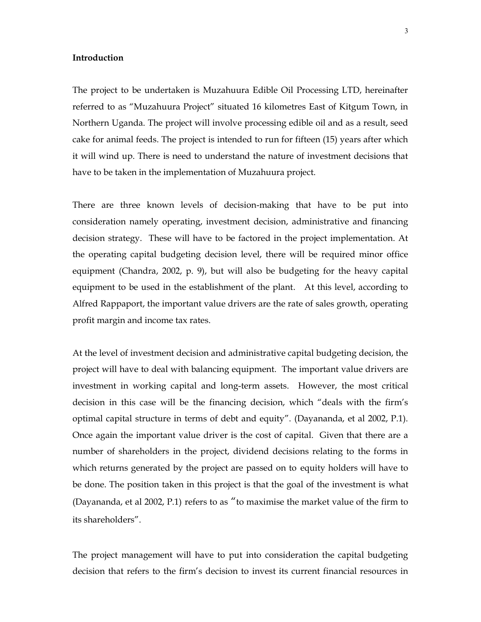#### Introduction

The project to be undertaken is Muzahuura Edible Oil Processing LTD, hereinafter referred to as "Muzahuura Project" situated 16 kilometres East of Kitgum Town, in Northern Uganda. The project will involve processing edible oil and as a result, seed cake for animal feeds. The project is intended to run for fifteen (15) years after which it will wind up. There is need to understand the nature of investment decisions that have to be taken in the implementation of Muzahuura project.

There are three known levels of decision-making that have to be put into consideration namely operating, investment decision, administrative and financing decision strategy. These will have to be factored in the project implementation. At the operating capital budgeting decision level, there will be required minor office equipment (Chandra, 2002, p. 9), but will also be budgeting for the heavy capital equipment to be used in the establishment of the plant. At this level, according to Alfred Rappaport, the important value drivers are the rate of sales growth, operating profit margin and income tax rates.

At the level of investment decision and administrative capital budgeting decision, the project will have to deal with balancing equipment. The important value drivers are investment in working capital and long-term assets. However, the most critical decision in this case will be the financing decision, which "deals with the firm's optimal capital structure in terms of debt and equity". (Dayananda, et al 2002, P.1). Once again the important value driver is the cost of capital. Given that there are a number of shareholders in the project, dividend decisions relating to the forms in which returns generated by the project are passed on to equity holders will have to be done. The position taken in this project is that the goal of the investment is what (Dayananda, et al 2002, P.1) refers to as "to maximise the market value of the firm to its shareholders".

The project management will have to put into consideration the capital budgeting decision that refers to the firm's decision to invest its current financial resources in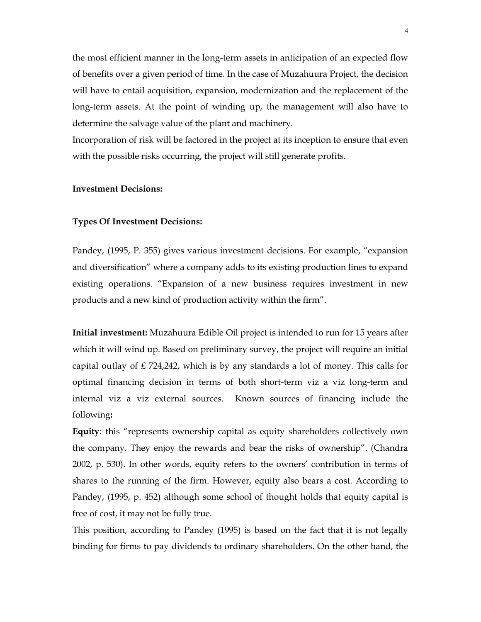the most efficient manner in the long-term assets in anticipation of an expected flow of benefits over a given period of time. In the case of Muzahuura Project, the decision will have to entail acquisition, expansion, modernization and the replacement of the long-term assets. At the point of winding up, the management will also have to determine the salvage value of the plant and machinery.

Incorporation of risk will be factored in the project at its inception to ensure that even with the possible risks occurring, the project will still generate profits.

#### Investment Decisions:

#### Types Of Investment Decisions:

Pandey, (1995, P. 355) gives various investment decisions. For example, "expansion and diversification" where a company adds to its existing production lines to expand existing operations. "Expansion of a new business requires investment in new products and a new kind of production activity within the firm".

Initial investment: Muzahuura Edible Oil project is intended to run for 15 years after which it will wind up. Based on preliminary survey, the project will require an initial capital outlay of £724,242, which is by any standards a lot of money. This calls for optimal financing decision in terms of both short-term viz a viz long-term and internal viz a viz external sources. Known sources of financing include the following:

Equity: this "represents ownership capital as equity shareholders collectively own the company. They enjoy the rewards and bear the risks of ownership". (Chandra 2002, p. 530). In other words, equity refers to the owners' contribution in terms of shares to the running of the firm. However, equity also bears a cost. According to Pandey, (1995, p. 452) although some school of thought holds that equity capital is free of cost, it may not be fully true.

This position, according to Pandey (1995) is based on the fact that it is not legally binding for firms to pay dividends to ordinary shareholders. On the other hand, the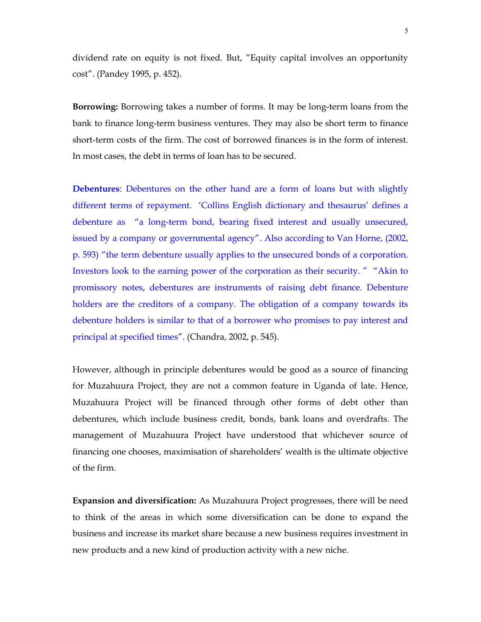dividend rate on equity is not fixed. But, "Equity capital involves an opportunity cost". (Pandey 1995, p. 452).

Borrowing: Borrowing takes a number of forms. It may be long-term loans from the bank to finance long-term business ventures. They may also be short term to finance short-term costs of the firm. The cost of borrowed finances is in the form of interest. In most cases, the debt in terms of loan has to be secured.

Debentures: Debentures on the other hand are a form of loans but with slightly different terms of repayment. 'Collins English dictionary and thesaurus' defines a debenture as "a long-term bond, bearing fixed interest and usually unsecured, issued by a company or governmental agency". Also according to Van Horne, (2002, p. 593) "the term debenture usually applies to the unsecured bonds of a corporation. Investors look to the earning power of the corporation as their security. " "Akin to promissory notes, debentures are instruments of raising debt finance. Debenture holders are the creditors of a company. The obligation of a company towards its debenture holders is similar to that of a borrower who promises to pay interest and principal at specified times". (Chandra, 2002, p. 545).

However, although in principle debentures would be good as a source of financing for Muzahuura Project, they are not a common feature in Uganda of late. Hence, Muzahuura Project will be financed through other forms of debt other than debentures, which include business credit, bonds, bank loans and overdrafts. The management of Muzahuura Project have understood that whichever source of financing one chooses, maximisation of shareholders' wealth is the ultimate objective of the firm.

Expansion and diversification: As Muzahuura Project progresses, there will be need to think of the areas in which some diversification can be done to expand the business and increase its market share because a new business requires investment in new products and a new kind of production activity with a new niche.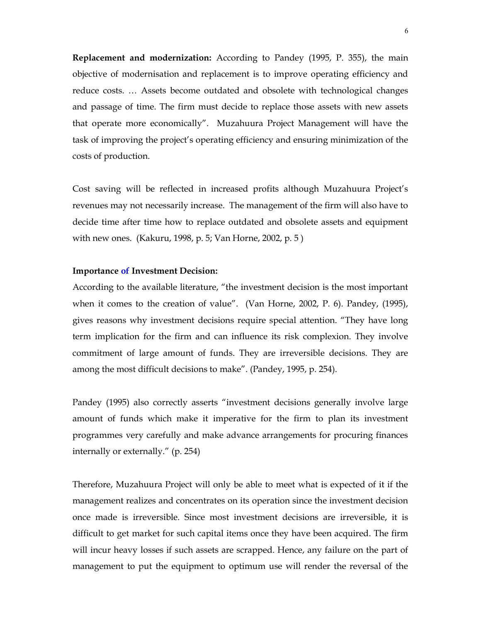Replacement and modernization: According to Pandey (1995, P. 355), the main objective of modernisation and replacement is to improve operating efficiency and reduce costs. … Assets become outdated and obsolete with technological changes and passage of time. The firm must decide to replace those assets with new assets that operate more economically". Muzahuura Project Management will have the task of improving the project's operating efficiency and ensuring minimization of the costs of production.

Cost saving will be reflected in increased profits although Muzahuura Project's revenues may not necessarily increase. The management of the firm will also have to decide time after time how to replace outdated and obsolete assets and equipment with new ones. (Kakuru, 1998, p. 5; Van Horne, 2002, p. 5 )

#### Importance of Investment Decision:

According to the available literature, "the investment decision is the most important when it comes to the creation of value". (Van Horne, 2002, P. 6). Pandey, (1995), gives reasons why investment decisions require special attention. "They have long term implication for the firm and can influence its risk complexion. They involve commitment of large amount of funds. They are irreversible decisions. They are among the most difficult decisions to make". (Pandey, 1995, p. 254).

Pandey (1995) also correctly asserts "investment decisions generally involve large amount of funds which make it imperative for the firm to plan its investment programmes very carefully and make advance arrangements for procuring finances internally or externally." (p. 254)

Therefore, Muzahuura Project will only be able to meet what is expected of it if the management realizes and concentrates on its operation since the investment decision once made is irreversible. Since most investment decisions are irreversible, it is difficult to get market for such capital items once they have been acquired. The firm will incur heavy losses if such assets are scrapped. Hence, any failure on the part of management to put the equipment to optimum use will render the reversal of the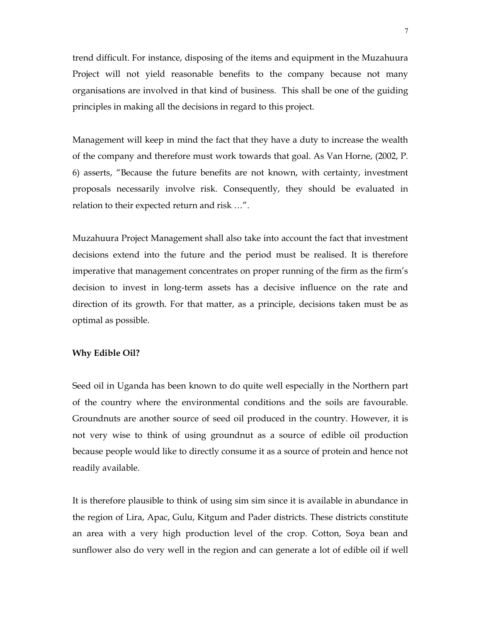trend difficult. For instance, disposing of the items and equipment in the Muzahuura Project will not yield reasonable benefits to the company because not many organisations are involved in that kind of business. This shall be one of the guiding principles in making all the decisions in regard to this project.

Management will keep in mind the fact that they have a duty to increase the wealth of the company and therefore must work towards that goal. As Van Horne, (2002, P. 6) asserts, "Because the future benefits are not known, with certainty, investment proposals necessarily involve risk. Consequently, they should be evaluated in relation to their expected return and risk …".

Muzahuura Project Management shall also take into account the fact that investment decisions extend into the future and the period must be realised. It is therefore imperative that management concentrates on proper running of the firm as the firm's decision to invest in long-term assets has a decisive influence on the rate and direction of its growth. For that matter, as a principle, decisions taken must be as optimal as possible.

#### Why Edible Oil?

Seed oil in Uganda has been known to do quite well especially in the Northern part of the country where the environmental conditions and the soils are favourable. Groundnuts are another source of seed oil produced in the country. However, it is not very wise to think of using groundnut as a source of edible oil production because people would like to directly consume it as a source of protein and hence not readily available.

It is therefore plausible to think of using sim sim since it is available in abundance in the region of Lira, Apac, Gulu, Kitgum and Pader districts. These districts constitute an area with a very high production level of the crop. Cotton, Soya bean and sunflower also do very well in the region and can generate a lot of edible oil if well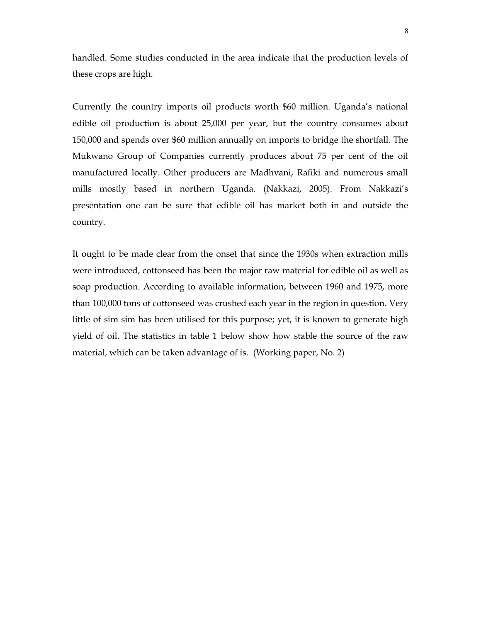handled. Some studies conducted in the area indicate that the production levels of these crops are high.

Currently the country imports oil products worth \$60 million. Uganda's national edible oil production is about 25,000 per year, but the country consumes about 150,000 and spends over \$60 million annually on imports to bridge the shortfall. The Mukwano Group of Companies currently produces about 75 per cent of the oil manufactured locally. Other producers are Madhvani, Rafiki and numerous small mills mostly based in northern Uganda. (Nakkazi, 2005). From Nakkazi's presentation one can be sure that edible oil has market both in and outside the country.

It ought to be made clear from the onset that since the 1930s when extraction mills were introduced, cottonseed has been the major raw material for edible oil as well as soap production. According to available information, between 1960 and 1975, more than 100,000 tons of cottonseed was crushed each year in the region in question. Very little of sim sim has been utilised for this purpose; yet, it is known to generate high yield of oil. The statistics in table 1 below show how stable the source of the raw material, which can be taken advantage of is. (Working paper, No. 2)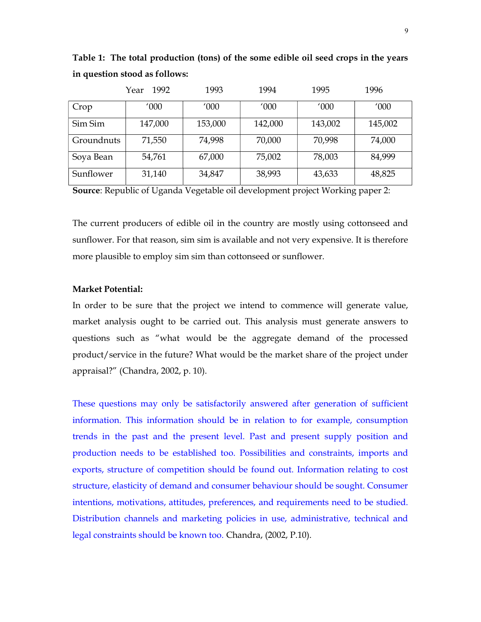|            | 1992<br>Year | 1993    | 1994    | 1995    | 1996    |
|------------|--------------|---------|---------|---------|---------|
| Crop       | '000         | '000    | '000    | '000    | '000    |
| Sim Sim    | 147,000      | 153,000 | 142,000 | 143,002 | 145,002 |
| Groundnuts | 71,550       | 74,998  | 70,000  | 70,998  | 74,000  |
| Soya Bean  | 54,761       | 67,000  | 75,002  | 78,003  | 84,999  |
| Sunflower  | 31,140       | 34,847  | 38,993  | 43,633  | 48,825  |

Table 1: The total production (tons) of the some edible oil seed crops in the years in question stood as follows:

Source: Republic of Uganda Vegetable oil development project Working paper 2:

The current producers of edible oil in the country are mostly using cottonseed and sunflower. For that reason, sim sim is available and not very expensive. It is therefore more plausible to employ sim sim than cottonseed or sunflower.

### Market Potential:

In order to be sure that the project we intend to commence will generate value, market analysis ought to be carried out. This analysis must generate answers to questions such as "what would be the aggregate demand of the processed product/service in the future? What would be the market share of the project under appraisal?" (Chandra, 2002, p. 10).

These questions may only be satisfactorily answered after generation of sufficient information. This information should be in relation to for example, consumption trends in the past and the present level. Past and present supply position and production needs to be established too. Possibilities and constraints, imports and exports, structure of competition should be found out. Information relating to cost structure, elasticity of demand and consumer behaviour should be sought. Consumer intentions, motivations, attitudes, preferences, and requirements need to be studied. Distribution channels and marketing policies in use, administrative, technical and legal constraints should be known too. Chandra, (2002, P.10).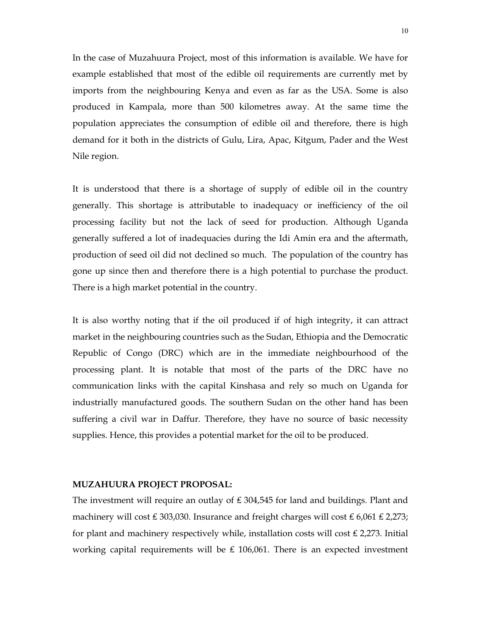In the case of Muzahuura Project, most of this information is available. We have for example established that most of the edible oil requirements are currently met by imports from the neighbouring Kenya and even as far as the USA. Some is also produced in Kampala, more than 500 kilometres away. At the same time the population appreciates the consumption of edible oil and therefore, there is high demand for it both in the districts of Gulu, Lira, Apac, Kitgum, Pader and the West Nile region.

It is understood that there is a shortage of supply of edible oil in the country generally. This shortage is attributable to inadequacy or inefficiency of the oil processing facility but not the lack of seed for production. Although Uganda generally suffered a lot of inadequacies during the Idi Amin era and the aftermath, production of seed oil did not declined so much. The population of the country has gone up since then and therefore there is a high potential to purchase the product. There is a high market potential in the country.

It is also worthy noting that if the oil produced if of high integrity, it can attract market in the neighbouring countries such as the Sudan, Ethiopia and the Democratic Republic of Congo (DRC) which are in the immediate neighbourhood of the processing plant. It is notable that most of the parts of the DRC have no communication links with the capital Kinshasa and rely so much on Uganda for industrially manufactured goods. The southern Sudan on the other hand has been suffering a civil war in Daffur. Therefore, they have no source of basic necessity supplies. Hence, this provides a potential market for the oil to be produced.

#### MUZAHUURA PROJECT PROPOSAL:

The investment will require an outlay of ₤ 304,545 for land and buildings. Plant and machinery will cost ₤ 303,030. Insurance and freight charges will cost ₤ 6,061 ₤ 2,273; for plant and machinery respectively while, installation costs will cost  $\text{\pounds}$  2,273. Initial working capital requirements will be  $\text{\pounds}$  106,061. There is an expected investment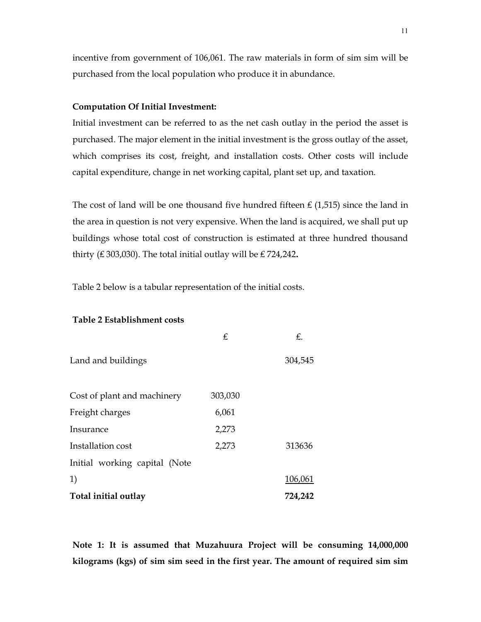incentive from government of 106,061. The raw materials in form of sim sim will be purchased from the local population who produce it in abundance.

#### Computation Of Initial Investment:

Initial investment can be referred to as the net cash outlay in the period the asset is purchased. The major element in the initial investment is the gross outlay of the asset, which comprises its cost, freight, and installation costs. Other costs will include capital expenditure, change in net working capital, plant set up, and taxation.

The cost of land will be one thousand five hundred fifteen  $\text{\pounds}$  (1,515) since the land in the area in question is not very expensive. When the land is acquired, we shall put up buildings whose total cost of construction is estimated at three hundred thousand thirty (₤ 303,030). The total initial outlay will be ₤ 724,242.

Table 2 below is a tabular representation of the initial costs.

# Table 2 Establishment costs

|                               | £       | £.      |
|-------------------------------|---------|---------|
| Land and buildings            |         | 304,545 |
| Cost of plant and machinery   | 303,030 |         |
| Freight charges               | 6,061   |         |
| Insurance                     | 2,273   |         |
| Installation cost             | 2,273   | 313636  |
| Initial working capital (Note |         |         |
| 1)                            |         | 106,061 |
| Total initial outlay          |         | 724,242 |

Note 1: It is assumed that Muzahuura Project will be consuming 14,000,000 kilograms (kgs) of sim sim seed in the first year. The amount of required sim sim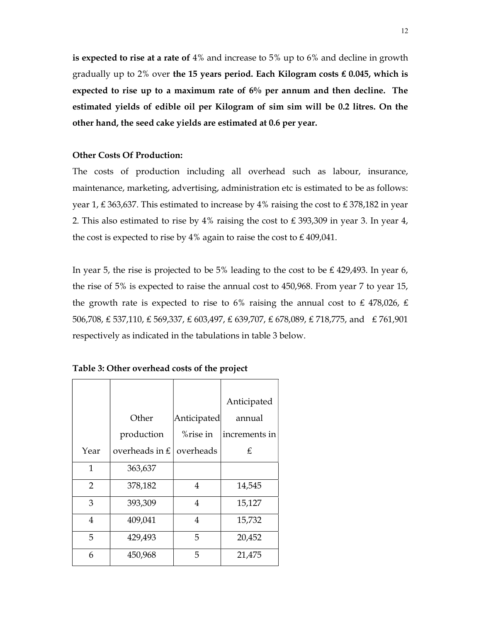is expected to rise at a rate of 4% and increase to 5% up to 6% and decline in growth gradually up to 2% over the 15 years period. Each Kilogram costs £0.045, which is expected to rise up to a maximum rate of 6% per annum and then decline. The estimated yields of edible oil per Kilogram of sim sim will be 0.2 litres. On the other hand, the seed cake yields are estimated at 0.6 per year.

## Other Costs Of Production:

The costs of production including all overhead such as labour, insurance, maintenance, marketing, advertising, administration etc is estimated to be as follows: year 1, ₤ 363,637. This estimated to increase by 4% raising the cost to ₤ 378,182 in year 2. This also estimated to rise by 4% raising the cost to ₤ 393,309 in year 3. In year 4, the cost is expected to rise by 4% again to raise the cost to £409,041.

In year 5, the rise is projected to be 5% leading to the cost to be £429,493. In year 6, the rise of 5% is expected to raise the annual cost to 450,968. From year 7 to year 15, the growth rate is expected to rise to 6% raising the annual cost to £478,026, £ 506,708, ₤ 537,110, ₤ 569,337, ₤ 603,497, ₤ 639,707, ₤ 678,089, ₤ 718,775, and ₤ 761,901 respectively as indicated in the tabulations in table 3 below.

|                |                                     |             | Anticipated   |
|----------------|-------------------------------------|-------------|---------------|
|                | Other                               | Anticipated | annual        |
|                | production                          | %rise in    | increments in |
| Year           | overheads in $\pounds$<br>overheads |             | £             |
| $\mathbf{1}$   | 363,637                             |             |               |
| $\overline{2}$ | 378,182                             | 4           | 14,545        |
| 3              | 393,309                             | 4           | 15,127        |
| 4              | 409,041                             | 4           | 15,732        |
| 5              | 429,493                             | 5           | 20,452        |
| 6              | 450,968                             | 5           | 21,475        |

Table 3: Other overhead costs of the project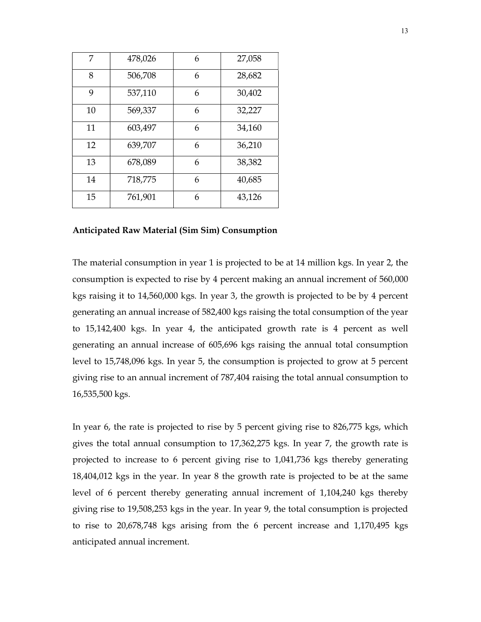| 7  | 478,026 | 6 | 27,058 |
|----|---------|---|--------|
| 8  | 506,708 | 6 | 28,682 |
| 9  | 537,110 | 6 | 30,402 |
| 10 | 569,337 | 6 | 32,227 |
| 11 | 603,497 | 6 | 34,160 |
| 12 | 639,707 | 6 | 36,210 |
| 13 | 678,089 | 6 | 38,382 |
| 14 | 718,775 | 6 | 40,685 |
| 15 | 761,901 | 6 | 43,126 |

#### Anticipated Raw Material (Sim Sim) Consumption

The material consumption in year 1 is projected to be at 14 million kgs. In year 2, the consumption is expected to rise by 4 percent making an annual increment of 560,000 kgs raising it to 14,560,000 kgs. In year 3, the growth is projected to be by 4 percent generating an annual increase of 582,400 kgs raising the total consumption of the year to 15,142,400 kgs. In year 4, the anticipated growth rate is 4 percent as well generating an annual increase of 605,696 kgs raising the annual total consumption level to 15,748,096 kgs. In year 5, the consumption is projected to grow at 5 percent giving rise to an annual increment of 787,404 raising the total annual consumption to 16,535,500 kgs.

In year 6, the rate is projected to rise by 5 percent giving rise to 826,775 kgs, which gives the total annual consumption to 17,362,275 kgs. In year 7, the growth rate is projected to increase to 6 percent giving rise to 1,041,736 kgs thereby generating 18,404,012 kgs in the year. In year 8 the growth rate is projected to be at the same level of 6 percent thereby generating annual increment of 1,104,240 kgs thereby giving rise to 19,508,253 kgs in the year. In year 9, the total consumption is projected to rise to 20,678,748 kgs arising from the 6 percent increase and 1,170,495 kgs anticipated annual increment.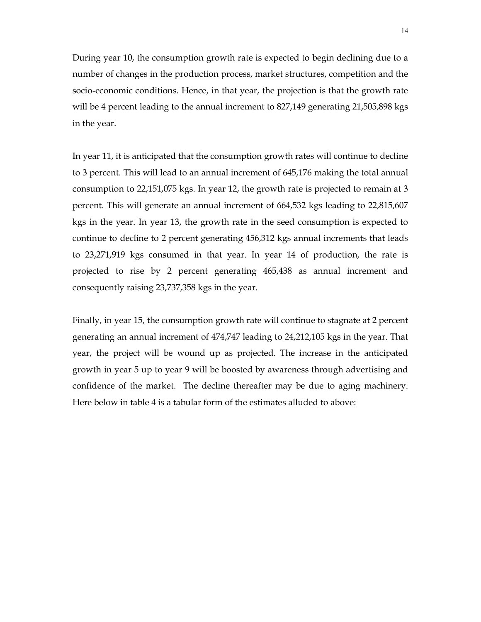During year 10, the consumption growth rate is expected to begin declining due to a number of changes in the production process, market structures, competition and the socio-economic conditions. Hence, in that year, the projection is that the growth rate will be 4 percent leading to the annual increment to 827,149 generating 21,505,898 kgs in the year.

In year 11, it is anticipated that the consumption growth rates will continue to decline to 3 percent. This will lead to an annual increment of 645,176 making the total annual consumption to 22,151,075 kgs. In year 12, the growth rate is projected to remain at 3 percent. This will generate an annual increment of 664,532 kgs leading to 22,815,607 kgs in the year. In year 13, the growth rate in the seed consumption is expected to continue to decline to 2 percent generating 456,312 kgs annual increments that leads to 23,271,919 kgs consumed in that year. In year 14 of production, the rate is projected to rise by 2 percent generating 465,438 as annual increment and consequently raising 23,737,358 kgs in the year.

Finally, in year 15, the consumption growth rate will continue to stagnate at 2 percent generating an annual increment of 474,747 leading to 24,212,105 kgs in the year. That year, the project will be wound up as projected. The increase in the anticipated growth in year 5 up to year 9 will be boosted by awareness through advertising and confidence of the market. The decline thereafter may be due to aging machinery. Here below in table 4 is a tabular form of the estimates alluded to above: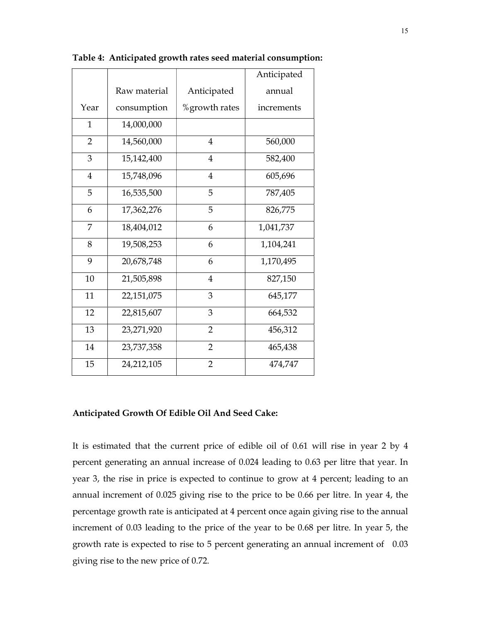|                |              |                | Anticipated |
|----------------|--------------|----------------|-------------|
|                | Raw material | Anticipated    | annual      |
| Year           | consumption  | %growth rates  | increments  |
| $\mathbf{1}$   | 14,000,000   |                |             |
| $\overline{2}$ | 14,560,000   | $\overline{4}$ | 560,000     |
| 3              | 15,142,400   | $\overline{4}$ | 582,400     |
| $\overline{4}$ | 15,748,096   | $\overline{4}$ | 605,696     |
| 5              | 16,535,500   | 5              | 787,405     |
| 6              | 17,362,276   | 5              | 826,775     |
| 7              | 18,404,012   | 6              | 1,041,737   |
| 8              | 19,508,253   | 6              | 1,104,241   |
| 9              | 20,678,748   | 6              | 1,170,495   |
| 10             | 21,505,898   | $\overline{4}$ | 827,150     |
| 11             | 22,151,075   | 3              | 645,177     |
| 12             | 22,815,607   | 3              | 664,532     |
| 13             | 23,271,920   | $\overline{2}$ | 456,312     |
| 14             | 23,737,358   | $\overline{2}$ | 465,438     |
| 15             | 24,212,105   | $\overline{2}$ | 474,747     |

Table 4: Anticipated growth rates seed material consumption:

#### Anticipated Growth Of Edible Oil And Seed Cake:

It is estimated that the current price of edible oil of 0.61 will rise in year 2 by 4 percent generating an annual increase of 0.024 leading to 0.63 per litre that year. In year 3, the rise in price is expected to continue to grow at 4 percent; leading to an annual increment of 0.025 giving rise to the price to be 0.66 per litre. In year 4, the percentage growth rate is anticipated at 4 percent once again giving rise to the annual increment of 0.03 leading to the price of the year to be 0.68 per litre. In year 5, the growth rate is expected to rise to 5 percent generating an annual increment of 0.03 giving rise to the new price of 0.72.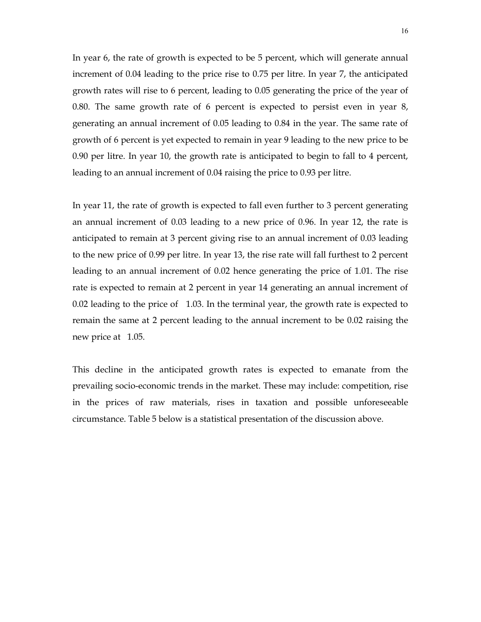In year 6, the rate of growth is expected to be 5 percent, which will generate annual increment of 0.04 leading to the price rise to 0.75 per litre. In year 7, the anticipated growth rates will rise to 6 percent, leading to 0.05 generating the price of the year of 0.80. The same growth rate of 6 percent is expected to persist even in year 8, generating an annual increment of 0.05 leading to 0.84 in the year. The same rate of growth of 6 percent is yet expected to remain in year 9 leading to the new price to be 0.90 per litre. In year 10, the growth rate is anticipated to begin to fall to 4 percent, leading to an annual increment of 0.04 raising the price to 0.93 per litre.

In year 11, the rate of growth is expected to fall even further to 3 percent generating an annual increment of 0.03 leading to a new price of 0.96. In year 12, the rate is anticipated to remain at 3 percent giving rise to an annual increment of 0.03 leading to the new price of 0.99 per litre. In year 13, the rise rate will fall furthest to 2 percent leading to an annual increment of 0.02 hence generating the price of 1.01. The rise rate is expected to remain at 2 percent in year 14 generating an annual increment of 0.02 leading to the price of 1.03. In the terminal year, the growth rate is expected to remain the same at 2 percent leading to the annual increment to be 0.02 raising the new price at 1.05.

This decline in the anticipated growth rates is expected to emanate from the prevailing socio-economic trends in the market. These may include: competition, rise in the prices of raw materials, rises in taxation and possible unforeseeable circumstance. Table 5 below is a statistical presentation of the discussion above.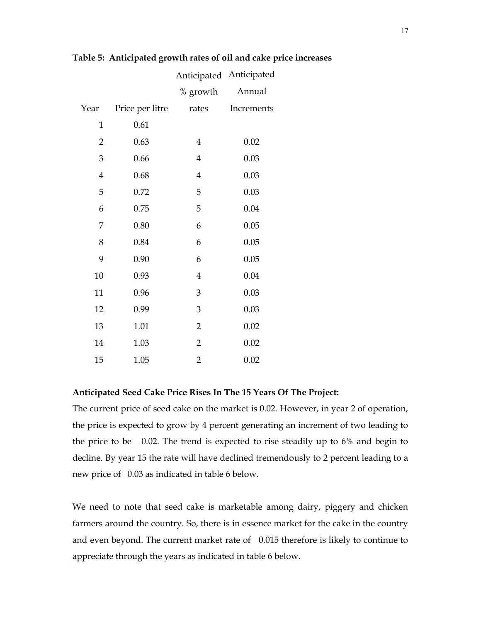|                |                 |                | Anticipated Anticipated |
|----------------|-----------------|----------------|-------------------------|
|                |                 | % growth       | Annual                  |
| Year           | Price per litre | rates          | Increments              |
| $\mathbf{1}$   | 0.61            |                |                         |
| $\overline{2}$ | 0.63            | $\overline{4}$ | 0.02                    |
| 3              | 0.66            | $\overline{4}$ | 0.03                    |
| $\overline{4}$ | 0.68            | $\overline{4}$ | 0.03                    |
| 5              | 0.72            | 5              | 0.03                    |
| 6              | 0.75            | 5              | 0.04                    |
| 7              | 0.80            | 6              | 0.05                    |
| 8              | 0.84            | 6              | 0.05                    |
| 9              | 0.90            | 6              | 0.05                    |
| 10             | 0.93            | $\overline{4}$ | 0.04                    |
| 11             | 0.96            | 3              | 0.03                    |
| 12             | 0.99            | 3              | 0.03                    |
| 13             | 1.01            | $\overline{2}$ | 0.02                    |
| 14             | 1.03            | $\overline{2}$ | 0.02                    |
| 15             | 1.05            | $\overline{2}$ | 0.02                    |

# Table 5: Anticipated growth rates of oil and cake price increases

#### Anticipated Seed Cake Price Rises In The 15 Years Of The Project:

The current price of seed cake on the market is 0.02. However, in year 2 of operation, the price is expected to grow by 4 percent generating an increment of two leading to the price to be 0.02. The trend is expected to rise steadily up to 6% and begin to decline. By year 15 the rate will have declined tremendously to 2 percent leading to a new price of 0.03 as indicated in table 6 below.

We need to note that seed cake is marketable among dairy, piggery and chicken farmers around the country. So, there is in essence market for the cake in the country and even beyond. The current market rate of 0.015 therefore is likely to continue to appreciate through the years as indicated in table 6 below.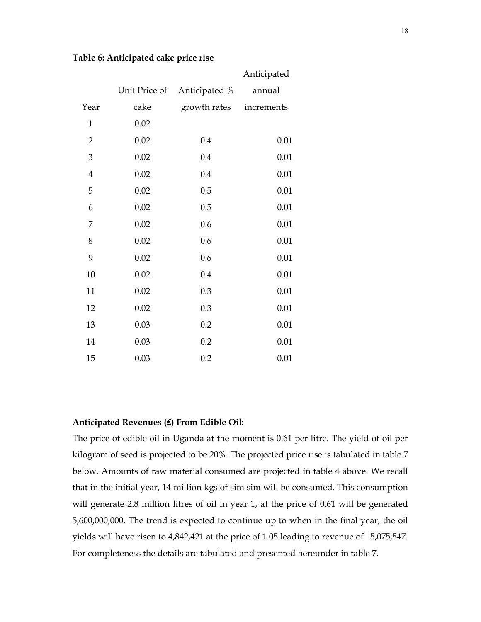|  |  | Table 6: Anticipated cake price rise |  |
|--|--|--------------------------------------|--|
|  |  |                                      |  |

|                |               |               | Anticipated |
|----------------|---------------|---------------|-------------|
|                | Unit Price of | Anticipated % | annual      |
| Year           | cake          | growth rates  | increments  |
| $\mathbf 1$    | 0.02          |               |             |
| $\overline{2}$ | 0.02          | 0.4           | 0.01        |
| $\mathfrak{B}$ | 0.02          | 0.4           | 0.01        |
| $\bf 4$        | 0.02          | 0.4           | 0.01        |
| 5              | 0.02          | 0.5           | 0.01        |
| 6              | 0.02          | 0.5           | 0.01        |
| 7              | 0.02          | 0.6           | 0.01        |
| $8\,$          | 0.02          | 0.6           | 0.01        |
| 9              | 0.02          | 0.6           | 0.01        |
| 10             | 0.02          | 0.4           | 0.01        |
| 11             | 0.02          | 0.3           | 0.01        |
| 12             | 0.02          | 0.3           | 0.01        |
| 13             | 0.03          | 0.2           | 0.01        |
| 14             | 0.03          | 0.2           | 0.01        |
| 15             | 0.03          | 0.2           | 0.01        |

#### Anticipated Revenues (₤) From Edible Oil:

The price of edible oil in Uganda at the moment is 0.61 per litre. The yield of oil per kilogram of seed is projected to be 20%. The projected price rise is tabulated in table 7 below. Amounts of raw material consumed are projected in table 4 above. We recall that in the initial year, 14 million kgs of sim sim will be consumed. This consumption will generate 2.8 million litres of oil in year 1, at the price of 0.61 will be generated 5,600,000,000. The trend is expected to continue up to when in the final year, the oil yields will have risen to 4,842,421 at the price of 1.05 leading to revenue of 5,075,547. For completeness the details are tabulated and presented hereunder in table 7.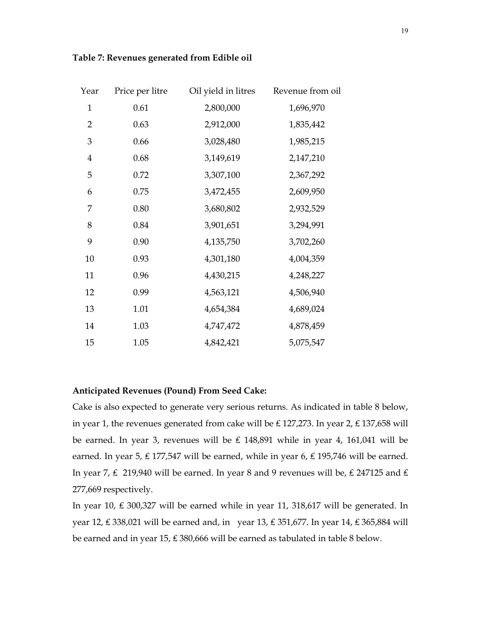| Table 7: Revenues generated from Edible oil |  |
|---------------------------------------------|--|
|                                             |  |

| Year             | Price per litre | Oil yield in litres | Revenue from oil |
|------------------|-----------------|---------------------|------------------|
| $\mathbf{1}$     | 0.61            | 2,800,000           | 1,696,970        |
| $\overline{2}$   | 0.63            | 2,912,000           | 1,835,442        |
| $\mathfrak{Z}$   | 0.66            | 3,028,480           | 1,985,215        |
| $\boldsymbol{4}$ | 0.68            | 3,149,619           | 2,147,210        |
| 5                | 0.72            | 3,307,100           | 2,367,292        |
| 6                | 0.75            | 3,472,455           | 2,609,950        |
| 7                | 0.80            | 3,680,802           | 2,932,529        |
| $8\,$            | 0.84            | 3,901,651           | 3,294,991        |
| 9                | 0.90            | 4,135,750           | 3,702,260        |
| 10               | 0.93            | 4,301,180           | 4,004,359        |
| 11               | 0.96            | 4,430,215           | 4,248,227        |
| 12               | 0.99            | 4,563,121           | 4,506,940        |
| 13               | 1.01            | 4,654,384           | 4,689,024        |
| 14               | 1.03            | 4,747,472           | 4,878,459        |
| 15               | 1.05            | 4,842,421           | 5,075,547        |

# Anticipated Revenues (Pound) From Seed Cake:

Cake is also expected to generate very serious returns. As indicated in table 8 below, in year 1, the revenues generated from cake will be ₤ 127,273. In year 2, ₤ 137,658 will be earned. In year 3, revenues will be ₤ 148,891 while in year 4, 161,041 will be earned. In year 5, £ 177,547 will be earned, while in year 6, £ 195,746 will be earned. In year 7, ₤ 219,940 will be earned. In year 8 and 9 revenues will be, ₤ 247125 and ₤ 277,669 respectively.

In year 10, ₤ 300,327 will be earned while in year 11, 318,617 will be generated. In year 12, £ 338,021 will be earned and, in year 13, £ 351,677. In year 14, £ 365,884 will be earned and in year 15, ₤ 380,666 will be earned as tabulated in table 8 below.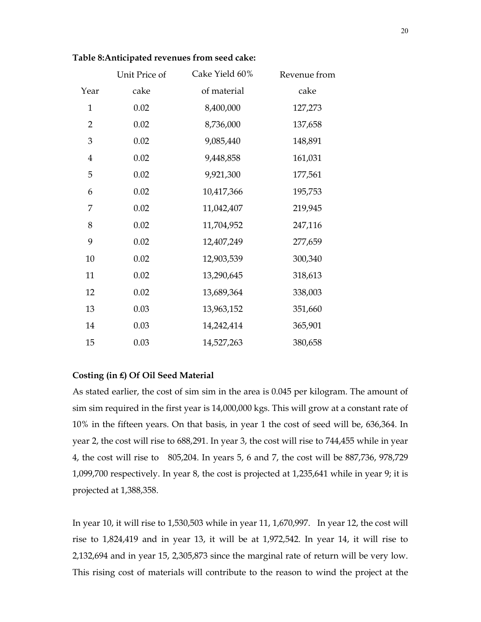|                | Unit Price of | Cake Yield 60% | Revenue from |
|----------------|---------------|----------------|--------------|
| Year           | cake          | of material    | cake         |
| $\mathbf{1}$   | 0.02          | 8,400,000      | 127,273      |
| $\overline{2}$ | 0.02          | 8,736,000      | 137,658      |
| 3              | 0.02          | 9,085,440      | 148,891      |
| 4              | 0.02          | 9,448,858      | 161,031      |
| 5              | 0.02          | 9,921,300      | 177,561      |
| 6              | 0.02          | 10,417,366     | 195,753      |
| 7              | 0.02          | 11,042,407     | 219,945      |
| 8              | 0.02          | 11,704,952     | 247,116      |
| 9              | 0.02          | 12,407,249     | 277,659      |
| 10             | 0.02          | 12,903,539     | 300,340      |
| 11             | 0.02          | 13,290,645     | 318,613      |
| 12             | 0.02          | 13,689,364     | 338,003      |
| 13             | 0.03          | 13,963,152     | 351,660      |
| 14             | 0.03          | 14,242,414     | 365,901      |
| 15             | 0.03          | 14,527,263     | 380,658      |

#### Table 8:Anticipated revenues from seed cake:

## Costing (in ₤) Of Oil Seed Material

As stated earlier, the cost of sim sim in the area is 0.045 per kilogram. The amount of sim sim required in the first year is 14,000,000 kgs. This will grow at a constant rate of 10% in the fifteen years. On that basis, in year 1 the cost of seed will be, 636,364. In year 2, the cost will rise to 688,291. In year 3, the cost will rise to 744,455 while in year 4, the cost will rise to 805,204. In years 5, 6 and 7, the cost will be 887,736, 978,729 1,099,700 respectively. In year 8, the cost is projected at 1,235,641 while in year 9; it is projected at 1,388,358.

In year 10, it will rise to 1,530,503 while in year 11, 1,670,997. In year 12, the cost will rise to 1,824,419 and in year 13, it will be at 1,972,542. In year 14, it will rise to 2,132,694 and in year 15, 2,305,873 since the marginal rate of return will be very low. This rising cost of materials will contribute to the reason to wind the project at the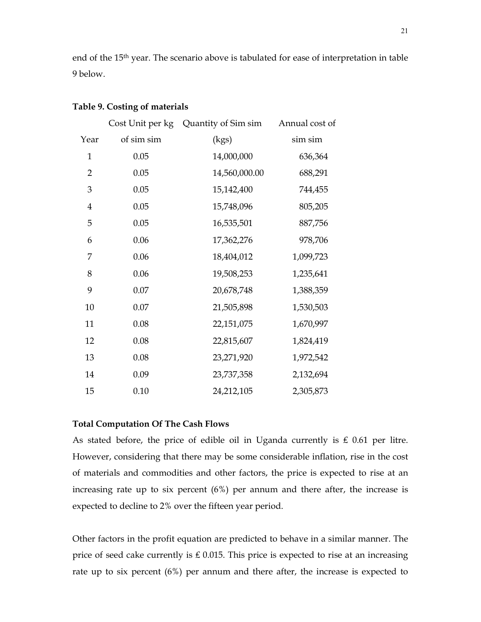end of the 15th year. The scenario above is tabulated for ease of interpretation in table 9 below.

|                |            | Cost Unit per kg Quantity of Sim sim | Annual cost of |
|----------------|------------|--------------------------------------|----------------|
| Year           | of sim sim | (kgs)                                | sim sim        |
| $\mathbf{1}$   | 0.05       | 14,000,000                           | 636,364        |
| $\overline{2}$ | 0.05       | 14,560,000.00                        | 688,291        |
| 3              | 0.05       | 15,142,400                           | 744,455        |
| $\overline{4}$ | 0.05       | 15,748,096                           | 805,205        |
| 5              | 0.05       | 16,535,501                           | 887,756        |
| 6              | 0.06       | 17,362,276                           | 978,706        |
| 7              | 0.06       | 18,404,012                           | 1,099,723      |
| 8              | 0.06       | 19,508,253                           | 1,235,641      |
| 9              | 0.07       | 20,678,748                           | 1,388,359      |
| 10             | 0.07       | 21,505,898                           | 1,530,503      |
| 11             | 0.08       | 22,151,075                           | 1,670,997      |
| 12             | 0.08       | 22,815,607                           | 1,824,419      |
| 13             | 0.08       | 23,271,920                           | 1,972,542      |
| 14             | 0.09       | 23,737,358                           | 2,132,694      |
| 15             | 0.10       | 24,212,105                           | 2,305,873      |

#### Table 9. Costing of materials

## Total Computation Of The Cash Flows

As stated before, the price of edible oil in Uganda currently is  $£ 0.61$  per litre. However, considering that there may be some considerable inflation, rise in the cost of materials and commodities and other factors, the price is expected to rise at an increasing rate up to six percent (6%) per annum and there after, the increase is expected to decline to 2% over the fifteen year period.

Other factors in the profit equation are predicted to behave in a similar manner. The price of seed cake currently is  $£ 0.015$ . This price is expected to rise at an increasing rate up to six percent (6%) per annum and there after, the increase is expected to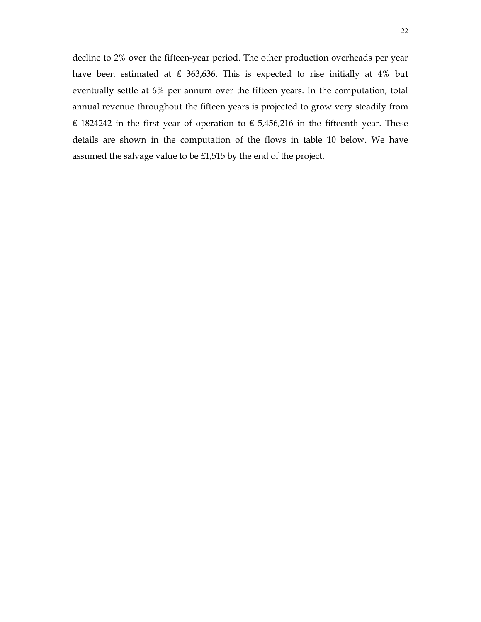decline to 2% over the fifteen-year period. The other production overheads per year have been estimated at ₤ 363,636. This is expected to rise initially at 4% but eventually settle at 6% per annum over the fifteen years. In the computation, total annual revenue throughout the fifteen years is projected to grow very steadily from £ 1824242 in the first year of operation to £ 5,456,216 in the fifteenth year. These details are shown in the computation of the flows in table 10 below. We have assumed the salvage value to be £1,515 by the end of the project.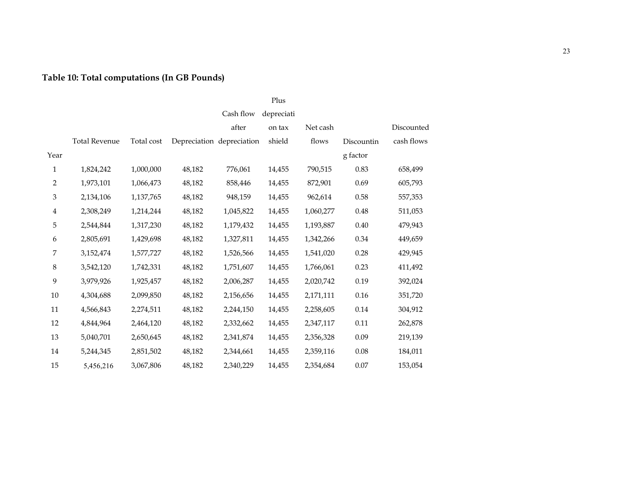# Table 10: Total computations (In GB Pounds)

# Plus

|                |                      |            |        | Cash flow                 | depreciati |           |            |            |
|----------------|----------------------|------------|--------|---------------------------|------------|-----------|------------|------------|
|                |                      |            |        | after                     | on tax     | Net cash  |            | Discounted |
|                | <b>Total Revenue</b> | Total cost |        | Depreciation depreciation | shield     | flows     | Discountin | cash flows |
| Year           |                      |            |        |                           |            |           | g factor   |            |
| $\mathbf{1}$   | 1,824,242            | 1,000,000  | 48,182 | 776,061                   | 14,455     | 790,515   | 0.83       | 658,499    |
| $\overline{2}$ | 1,973,101            | 1,066,473  | 48,182 | 858,446                   | 14,455     | 872,901   | 0.69       | 605,793    |
| $\mathfrak{Z}$ | 2,134,106            | 1,137,765  | 48,182 | 948,159                   | 14,455     | 962,614   | 0.58       | 557,353    |
| $\overline{4}$ | 2,308,249            | 1,214,244  | 48,182 | 1,045,822                 | 14,455     | 1,060,277 | 0.48       | 511,053    |
| 5              | 2,544,844            | 1,317,230  | 48,182 | 1,179,432                 | 14,455     | 1,193,887 | 0.40       | 479,943    |
| 6              | 2,805,691            | 1,429,698  | 48,182 | 1,327,811                 | 14,455     | 1,342,266 | 0.34       | 449,659    |
| 7              | 3,152,474            | 1,577,727  | 48,182 | 1,526,566                 | 14,455     | 1,541,020 | 0.28       | 429,945    |
| $\,8\,$        | 3,542,120            | 1,742,331  | 48,182 | 1,751,607                 | 14,455     | 1,766,061 | 0.23       | 411,492    |
| 9              | 3,979,926            | 1,925,457  | 48,182 | 2,006,287                 | 14,455     | 2,020,742 | 0.19       | 392,024    |
| 10             | 4,304,688            | 2,099,850  | 48,182 | 2,156,656                 | 14,455     | 2,171,111 | 0.16       | 351,720    |
| 11             | 4,566,843            | 2,274,511  | 48,182 | 2,244,150                 | 14,455     | 2,258,605 | $0.14\,$   | 304,912    |
| 12             | 4,844,964            | 2,464,120  | 48,182 | 2,332,662                 | 14,455     | 2,347,117 | 0.11       | 262,878    |
| 13             | 5,040,701            | 2,650,645  | 48,182 | 2,341,874                 | 14,455     | 2,356,328 | 0.09       | 219,139    |
| 14             | 5,244,345            | 2,851,502  | 48,182 | 2,344,661                 | 14,455     | 2,359,116 | 0.08       | 184,011    |
| 15             | 5,456,216            | 3,067,806  | 48,182 | 2,340,229                 | 14,455     | 2,354,684 | 0.07       | 153,054    |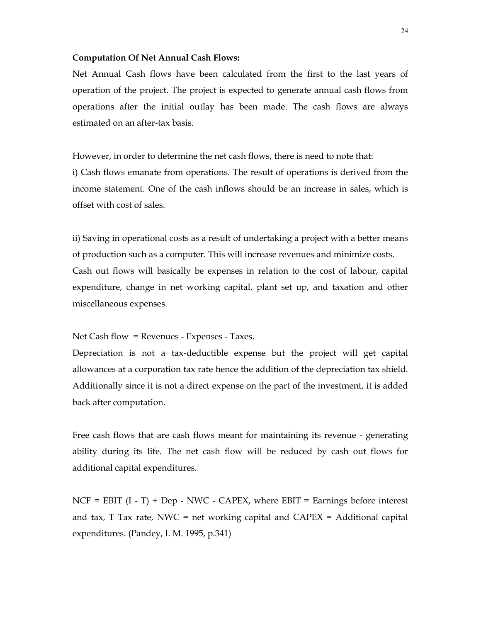#### Computation Of Net Annual Cash Flows:

Net Annual Cash flows have been calculated from the first to the last years of operation of the project. The project is expected to generate annual cash flows from operations after the initial outlay has been made. The cash flows are always estimated on an after-tax basis.

However, in order to determine the net cash flows, there is need to note that: i) Cash flows emanate from operations. The result of operations is derived from the income statement. One of the cash inflows should be an increase in sales, which is offset with cost of sales.

ii) Saving in operational costs as a result of undertaking a project with a better means of production such as a computer. This will increase revenues and minimize costs. Cash out flows will basically be expenses in relation to the cost of labour, capital expenditure, change in net working capital, plant set up, and taxation and other miscellaneous expenses.

Net Cash flow = Revenues - Expenses - Taxes.

Depreciation is not a tax-deductible expense but the project will get capital allowances at a corporation tax rate hence the addition of the depreciation tax shield. Additionally since it is not a direct expense on the part of the investment, it is added back after computation.

Free cash flows that are cash flows meant for maintaining its revenue - generating ability during its life. The net cash flow will be reduced by cash out flows for additional capital expenditures.

 $NCF = EBIT (I - T) + Dep - NWC - CAPEX$ , where  $EBIT = Earnings$  before interest and tax,  $T$  Tax rate, NWC = net working capital and CAPEX = Additional capital expenditures. (Pandey, I. M. 1995, p.341)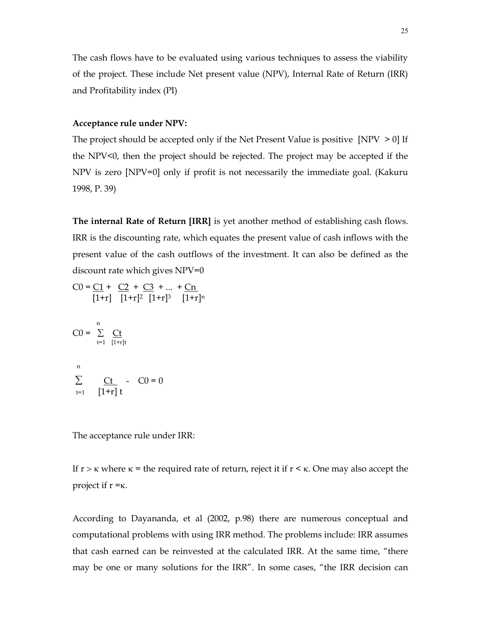The cash flows have to be evaluated using various techniques to assess the viability of the project. These include Net present value (NPV), Internal Rate of Return (IRR) and Profitability index (PI)

#### Acceptance rule under NPV:

The project should be accepted only if the Net Present Value is positive  $[NPV > 0]$  If the NPV<0, then the project should be rejected. The project may be accepted if the NPV is zero [NPV=0] only if profit is not necessarily the immediate goal. (Kakuru 1998, P. 39)

The internal Rate of Return [IRR] is yet another method of establishing cash flows. IRR is the discounting rate, which equates the present value of cash inflows with the present value of the cash outflows of the investment. It can also be defined as the discount rate which gives NPV=0

$$
C0 = \underbrace{C1}_{[1+r]} + \underbrace{C2}_{[1+r]^2} + \underbrace{C3}_{[1+r]^3} + \dots + \underbrace{Cn}_{[1+r]^n}
$$
\n
$$
C0 = \sum_{t=1}^{n} \underbrace{Ct}_{[1+r]t}
$$
\n
$$
n
$$
\n
$$
\sum_{t=1}^{n} \underbrace{Ct}_{[1+r]} - C0 = 0
$$

The acceptance rule under IRR:

If  $r > \kappa$  where  $\kappa$  = the required rate of return, reject it if  $r < \kappa$ . One may also accept the project if  $r = \kappa$ .

According to Dayananda, et al (2002, p.98) there are numerous conceptual and computational problems with using IRR method. The problems include: IRR assumes that cash earned can be reinvested at the calculated IRR. At the same time, "there may be one or many solutions for the IRR". In some cases, "the IRR decision can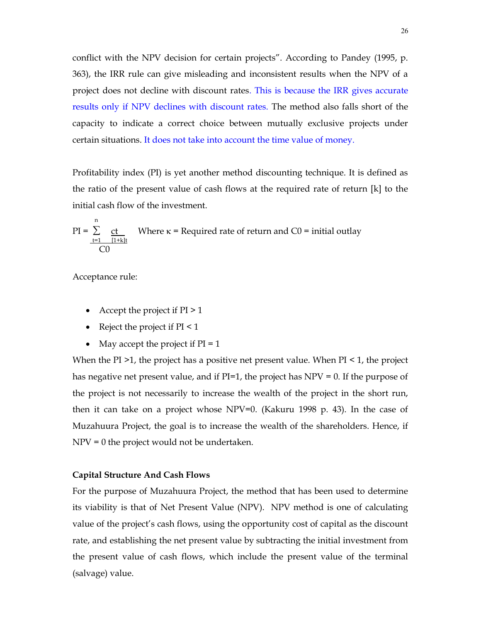conflict with the NPV decision for certain projects". According to Pandey (1995, p. 363), the IRR rule can give misleading and inconsistent results when the NPV of a project does not decline with discount rates. This is because the IRR gives accurate results only if NPV declines with discount rates. The method also falls short of the capacity to indicate a correct choice between mutually exclusive projects under certain situations. It does not take into account the time value of money.

Profitability index (PI) is yet another method discounting technique. It is defined as the ratio of the present value of cash flows at the required rate of return [k] to the initial cash flow of the investment.

PI = 
$$
\sum_{\frac{t=1}{t+1}} \frac{ct}{(1+k)t}
$$
 Where  $\kappa$  = Required rate of return and CO = initial outlay CO

Acceptance rule:

<sup>n</sup>

- Accept the project if  $PI > 1$
- Reject the project if  $PI < 1$
- May accept the project if  $PI = 1$

When the PI  $>1$ , the project has a positive net present value. When PI  $\leq 1$ , the project has negative net present value, and if  $PI=1$ , the project has  $NPV = 0$ . If the purpose of the project is not necessarily to increase the wealth of the project in the short run, then it can take on a project whose NPV=0. (Kakuru 1998 p. 43). In the case of Muzahuura Project, the goal is to increase the wealth of the shareholders. Hence, if NPV = 0 the project would not be undertaken.

#### Capital Structure And Cash Flows

For the purpose of Muzahuura Project, the method that has been used to determine its viability is that of Net Present Value (NPV). NPV method is one of calculating value of the project's cash flows, using the opportunity cost of capital as the discount rate, and establishing the net present value by subtracting the initial investment from the present value of cash flows, which include the present value of the terminal (salvage) value.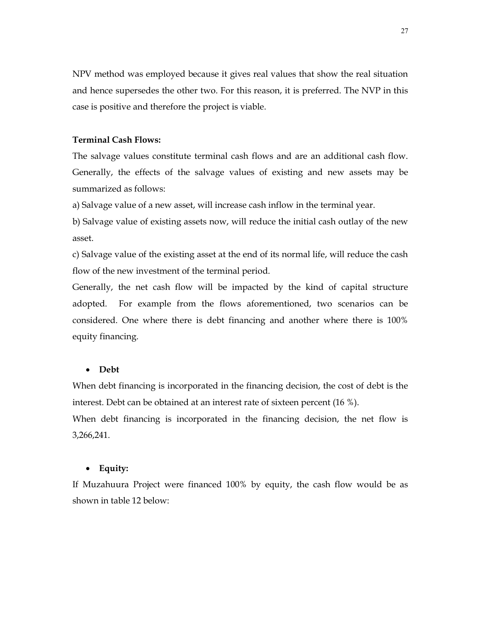NPV method was employed because it gives real values that show the real situation and hence supersedes the other two. For this reason, it is preferred. The NVP in this case is positive and therefore the project is viable.

## Terminal Cash Flows:

The salvage values constitute terminal cash flows and are an additional cash flow. Generally, the effects of the salvage values of existing and new assets may be summarized as follows:

a) Salvage value of a new asset, will increase cash inflow in the terminal year.

b) Salvage value of existing assets now, will reduce the initial cash outlay of the new asset.

c) Salvage value of the existing asset at the end of its normal life, will reduce the cash flow of the new investment of the terminal period.

Generally, the net cash flow will be impacted by the kind of capital structure adopted. For example from the flows aforementioned, two scenarios can be considered. One where there is debt financing and another where there is 100% equity financing.

#### Debt

When debt financing is incorporated in the financing decision, the cost of debt is the interest. Debt can be obtained at an interest rate of sixteen percent (16 %).

When debt financing is incorporated in the financing decision, the net flow is 3,266,241.

#### • Equity:

If Muzahuura Project were financed 100% by equity, the cash flow would be as shown in table 12 below: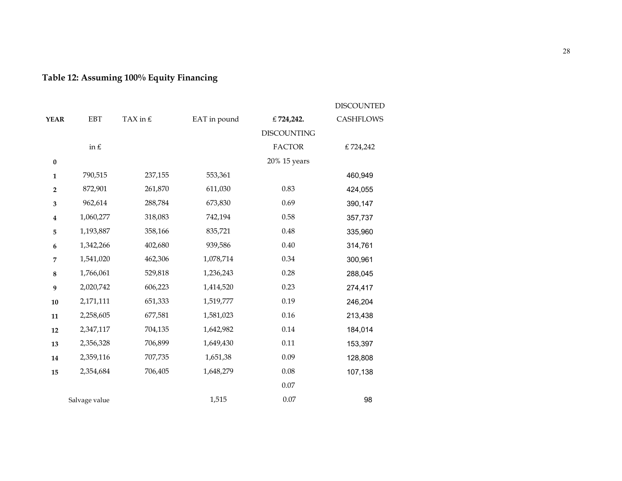# Table 12: Assuming 100% Equity Financing

|                  |               |            |              |                    | <b>DISCOUNTED</b> |
|------------------|---------------|------------|--------------|--------------------|-------------------|
| <b>YEAR</b>      | <b>EBT</b>    | TAX in $f$ | EAT in pound | € 724,242.         | <b>CASHFLOWS</b>  |
|                  |               |            |              | <b>DISCOUNTING</b> |                   |
|                  | in $\pounds$  |            |              | <b>FACTOR</b>      | €724,242          |
| $\pmb{0}$        |               |            |              | 20% 15 years       |                   |
| $\mathbf{1}$     | 790,515       | 237,155    | 553,361      |                    | 460,949           |
| $\mathbf 2$      | 872,901       | 261,870    | 611,030      | 0.83               | 424,055           |
| 3                | 962,614       | 288,784    | 673,830      | 0.69               | 390,147           |
| $\boldsymbol{4}$ | 1,060,277     | 318,083    | 742,194      | 0.58               | 357,737           |
| 5                | 1,193,887     | 358,166    | 835,721      | 0.48               | 335,960           |
| 6                | 1,342,266     | 402,680    | 939,586      | 0.40               | 314,761           |
| 7                | 1,541,020     | 462,306    | 1,078,714    | 0.34               | 300,961           |
| 8                | 1,766,061     | 529,818    | 1,236,243    | 0.28               | 288,045           |
| 9                | 2,020,742     | 606,223    | 1,414,520    | 0.23               | 274,417           |
| ${\bf 10}$       | 2,171,111     | 651,333    | 1,519,777    | 0.19               | 246,204           |
| 11               | 2,258,605     | 677,581    | 1,581,023    | 0.16               | 213,438           |
| 12               | 2,347,117     | 704,135    | 1,642,982    | 0.14               | 184,014           |
| 13               | 2,356,328     | 706,899    | 1,649,430    | 0.11               | 153,397           |
| 14               | 2,359,116     | 707,735    | 1,651,38     | 0.09               | 128,808           |
| 15               | 2,354,684     | 706,405    | 1,648,279    | 0.08               | 107,138           |
|                  |               |            |              | 0.07               |                   |
|                  | Salvage value |            | 1,515        | 0.07               | 98                |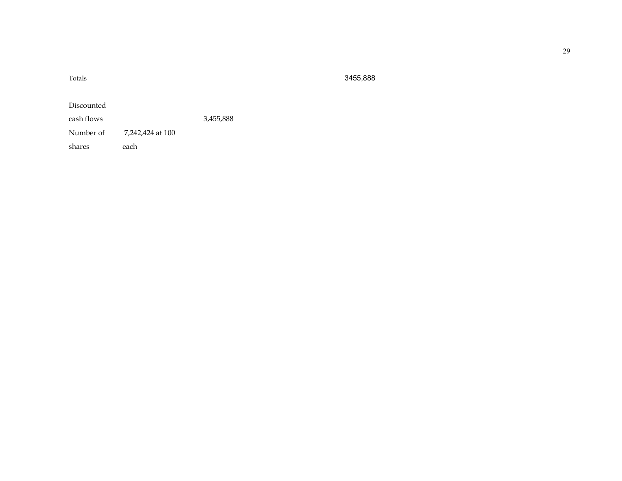| Totals     |                  |           |
|------------|------------------|-----------|
| Discounted |                  |           |
| cash flows |                  | 3,455,888 |
| Number of  | 7,242,424 at 100 |           |
| shares     | each             |           |

#### Totals 3455,888

29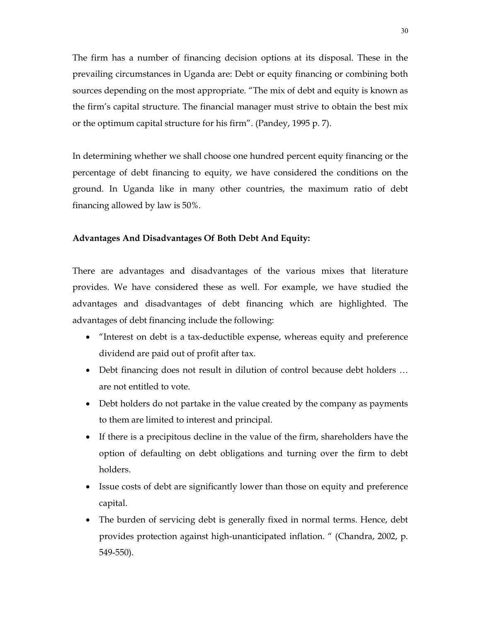The firm has a number of financing decision options at its disposal. These in the prevailing circumstances in Uganda are: Debt or equity financing or combining both sources depending on the most appropriate. "The mix of debt and equity is known as the firm's capital structure. The financial manager must strive to obtain the best mix or the optimum capital structure for his firm". (Pandey, 1995 p. 7).

In determining whether we shall choose one hundred percent equity financing or the percentage of debt financing to equity, we have considered the conditions on the ground. In Uganda like in many other countries, the maximum ratio of debt financing allowed by law is 50%.

#### Advantages And Disadvantages Of Both Debt And Equity:

There are advantages and disadvantages of the various mixes that literature provides. We have considered these as well. For example, we have studied the advantages and disadvantages of debt financing which are highlighted. The advantages of debt financing include the following:

- "Interest on debt is a tax-deductible expense, whereas equity and preference dividend are paid out of profit after tax.
- Debt financing does not result in dilution of control because debt holders … are not entitled to vote.
- Debt holders do not partake in the value created by the company as payments to them are limited to interest and principal.
- If there is a precipitous decline in the value of the firm, shareholders have the option of defaulting on debt obligations and turning over the firm to debt holders.
- Issue costs of debt are significantly lower than those on equity and preference capital.
- The burden of servicing debt is generally fixed in normal terms. Hence, debt provides protection against high-unanticipated inflation. " (Chandra, 2002, p. 549-550).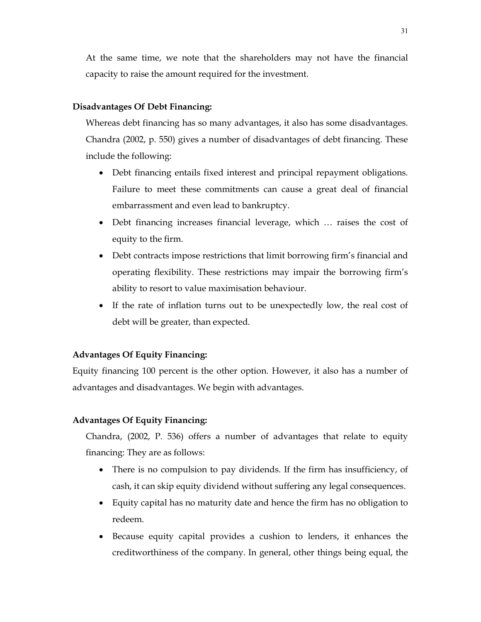At the same time, we note that the shareholders may not have the financial capacity to raise the amount required for the investment.

## Disadvantages Of Debt Financing:

Whereas debt financing has so many advantages, it also has some disadvantages. Chandra (2002, p. 550) gives a number of disadvantages of debt financing. These include the following:

- Debt financing entails fixed interest and principal repayment obligations. Failure to meet these commitments can cause a great deal of financial embarrassment and even lead to bankruptcy.
- Debt financing increases financial leverage, which … raises the cost of equity to the firm.
- Debt contracts impose restrictions that limit borrowing firm's financial and operating flexibility. These restrictions may impair the borrowing firm's ability to resort to value maximisation behaviour.
- If the rate of inflation turns out to be unexpectedly low, the real cost of debt will be greater, than expected.

## Advantages Of Equity Financing:

Equity financing 100 percent is the other option. However, it also has a number of advantages and disadvantages. We begin with advantages.

#### Advantages Of Equity Financing:

Chandra, (2002, P. 536) offers a number of advantages that relate to equity financing: They are as follows:

- There is no compulsion to pay dividends. If the firm has insufficiency, of cash, it can skip equity dividend without suffering any legal consequences.
- Equity capital has no maturity date and hence the firm has no obligation to redeem.
- Because equity capital provides a cushion to lenders, it enhances the creditworthiness of the company. In general, other things being equal, the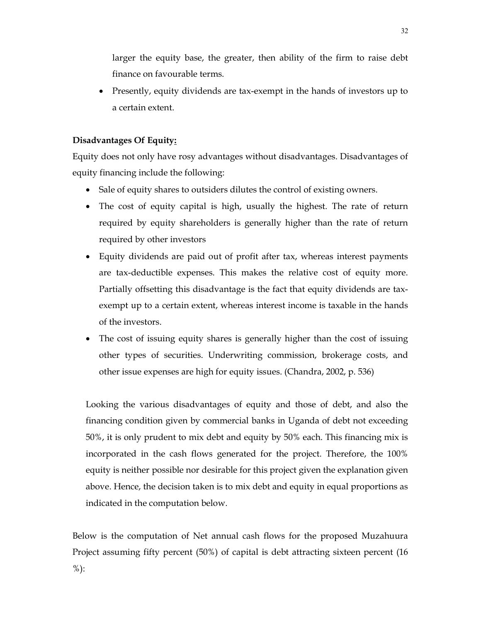larger the equity base, the greater, then ability of the firm to raise debt finance on favourable terms.

 Presently, equity dividends are tax-exempt in the hands of investors up to a certain extent.

# Disadvantages Of Equity:

Equity does not only have rosy advantages without disadvantages. Disadvantages of equity financing include the following:

- Sale of equity shares to outsiders dilutes the control of existing owners.
- The cost of equity capital is high, usually the highest. The rate of return required by equity shareholders is generally higher than the rate of return required by other investors
- Equity dividends are paid out of profit after tax, whereas interest payments are tax-deductible expenses. This makes the relative cost of equity more. Partially offsetting this disadvantage is the fact that equity dividends are taxexempt up to a certain extent, whereas interest income is taxable in the hands of the investors.
- The cost of issuing equity shares is generally higher than the cost of issuing other types of securities. Underwriting commission, brokerage costs, and other issue expenses are high for equity issues. (Chandra, 2002, p. 536)

Looking the various disadvantages of equity and those of debt, and also the financing condition given by commercial banks in Uganda of debt not exceeding 50%, it is only prudent to mix debt and equity by 50% each. This financing mix is incorporated in the cash flows generated for the project. Therefore, the 100% equity is neither possible nor desirable for this project given the explanation given above. Hence, the decision taken is to mix debt and equity in equal proportions as indicated in the computation below.

Below is the computation of Net annual cash flows for the proposed Muzahuura Project assuming fifty percent (50%) of capital is debt attracting sixteen percent (16 %):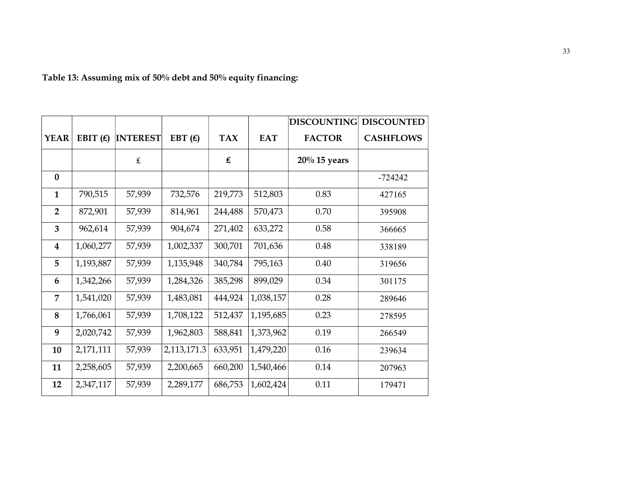|                  |            |                 |             |                                          |            | <b>DISCOUNTING</b> | <b>DISCOUNTED</b> |
|------------------|------------|-----------------|-------------|------------------------------------------|------------|--------------------|-------------------|
| <b>YEAR</b>      | EBIT $(E)$ | <b>INTEREST</b> | EBT $(f)$   | <b>TAX</b>                               | <b>EAT</b> | <b>FACTOR</b>      | <b>CASHFLOWS</b>  |
|                  |            | $\pounds$       |             | $\pmb{\mathop{\pmb{\epsilon}}\nolimits}$ |            | $20\%$ 15 years    |                   |
| $\bf{0}$         |            |                 |             |                                          |            |                    | $-724242$         |
| $\mathbf{1}$     | 790,515    | 57,939          | 732,576     | 219,773                                  | 512,803    | 0.83               | 427165            |
| $\overline{2}$   | 872,901    | 57,939          | 814,961     | 244,488                                  | 570,473    | 0.70               | 395908            |
| $\overline{3}$   | 962,614    | 57,939          | 904,674     | 271,402                                  | 633,272    | 0.58               | 366665            |
| $\boldsymbol{4}$ | 1,060,277  | 57,939          | 1,002,337   | 300,701                                  | 701,636    | 0.48               | 338189            |
| 5                | 1,193,887  | 57,939          | 1,135,948   | 340,784                                  | 795,163    | 0.40               | 319656            |
| 6                | 1,342,266  | 57,939          | 1,284,326   | 385,298                                  | 899,029    | 0.34               | 301175            |
| $\overline{7}$   | 1,541,020  | 57,939          | 1,483,081   | 444,924                                  | 1,038,157  | 0.28               | 289646            |
| 8                | 1,766,061  | 57,939          | 1,708,122   | 512,437                                  | 1,195,685  | 0.23               | 278595            |
| 9                | 2,020,742  | 57,939          | 1,962,803   | 588,841                                  | 1,373,962  | 0.19               | 266549            |
| 10               | 2,171,111  | 57,939          | 2,113,171.3 | 633,951                                  | 1,479,220  | 0.16               | 239634            |
| 11               | 2,258,605  | 57,939          | 2,200,665   | 660,200                                  | 1,540,466  | 0.14               | 207963            |
| 12               | 2,347,117  | 57,939          | 2,289,177   | 686,753                                  | 1,602,424  | 0.11               | 179471            |

Table 13: Assuming mix of 50% debt and 50% equity financing: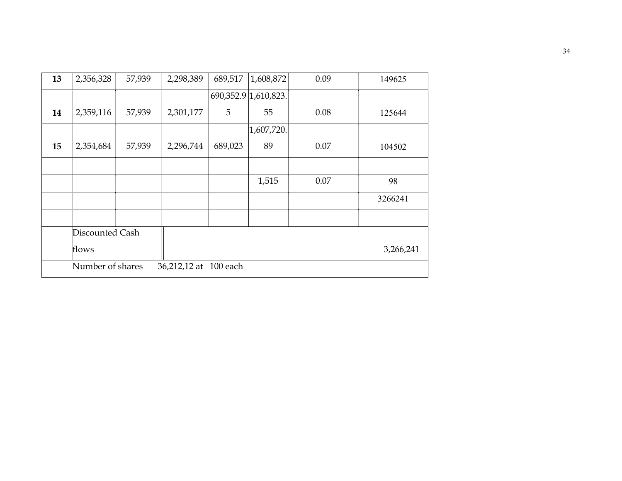| 13 | 2,356,328        | 57,939 | 2,298,389             | 689,517 | 1,608,872            | 0.09 | 149625    |
|----|------------------|--------|-----------------------|---------|----------------------|------|-----------|
|    |                  |        |                       |         | 690,352.9 1,610,823. |      |           |
| 14 | 2,359,116        | 57,939 | 2,301,177             | 5       | 55                   | 0.08 | 125644    |
|    |                  |        |                       |         | 1,607,720.           |      |           |
| 15 | 2,354,684        | 57,939 | 2,296,744             | 689,023 | 89                   | 0.07 | 104502    |
|    |                  |        |                       |         |                      |      |           |
|    |                  |        |                       |         | 1,515                | 0.07 | 98        |
|    |                  |        |                       |         |                      |      | 3266241   |
|    |                  |        |                       |         |                      |      |           |
|    | Discounted Cash  |        |                       |         |                      |      |           |
|    | flows            |        |                       |         |                      |      | 3,266,241 |
|    | Number of shares |        | 36,212,12 at 100 each |         |                      |      |           |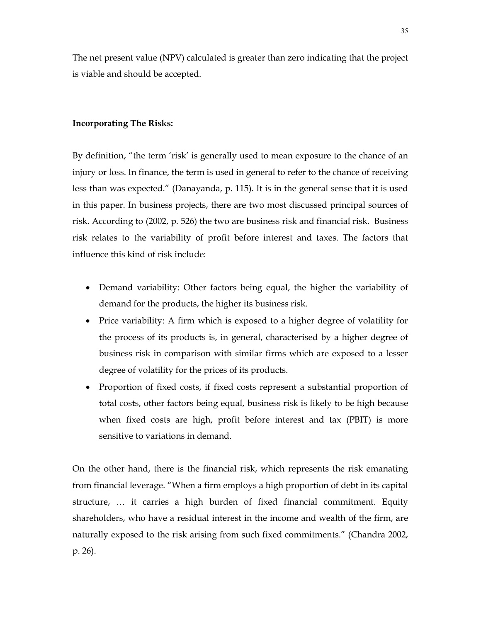The net present value (NPV) calculated is greater than zero indicating that the project is viable and should be accepted.

#### Incorporating The Risks:

By definition, "the term 'risk' is generally used to mean exposure to the chance of an injury or loss. In finance, the term is used in general to refer to the chance of receiving less than was expected." (Danayanda, p. 115). It is in the general sense that it is used in this paper. In business projects, there are two most discussed principal sources of risk. According to (2002, p. 526) the two are business risk and financial risk. Business risk relates to the variability of profit before interest and taxes. The factors that influence this kind of risk include:

- Demand variability: Other factors being equal, the higher the variability of demand for the products, the higher its business risk.
- Price variability: A firm which is exposed to a higher degree of volatility for the process of its products is, in general, characterised by a higher degree of business risk in comparison with similar firms which are exposed to a lesser degree of volatility for the prices of its products.
- Proportion of fixed costs, if fixed costs represent a substantial proportion of total costs, other factors being equal, business risk is likely to be high because when fixed costs are high, profit before interest and tax (PBIT) is more sensitive to variations in demand.

On the other hand, there is the financial risk, which represents the risk emanating from financial leverage. "When a firm employs a high proportion of debt in its capital structure, … it carries a high burden of fixed financial commitment. Equity shareholders, who have a residual interest in the income and wealth of the firm, are naturally exposed to the risk arising from such fixed commitments." (Chandra 2002, p. 26).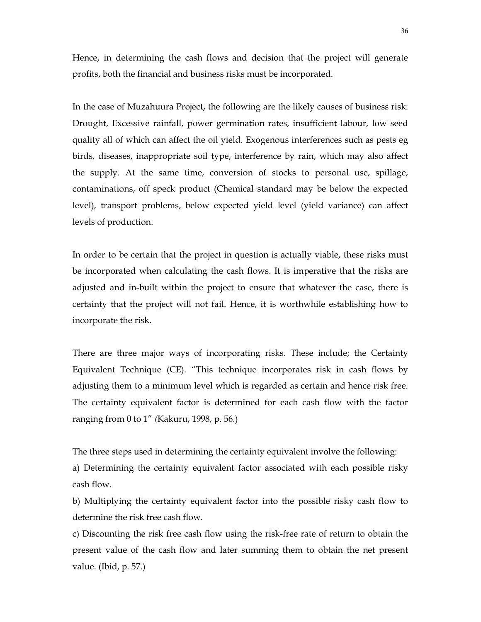Hence, in determining the cash flows and decision that the project will generate profits, both the financial and business risks must be incorporated.

In the case of Muzahuura Project, the following are the likely causes of business risk: Drought, Excessive rainfall, power germination rates, insufficient labour, low seed quality all of which can affect the oil yield. Exogenous interferences such as pests eg birds, diseases, inappropriate soil type, interference by rain, which may also affect the supply. At the same time, conversion of stocks to personal use, spillage, contaminations, off speck product (Chemical standard may be below the expected level), transport problems, below expected yield level (yield variance) can affect levels of production.

In order to be certain that the project in question is actually viable, these risks must be incorporated when calculating the cash flows. It is imperative that the risks are adjusted and in-built within the project to ensure that whatever the case, there is certainty that the project will not fail. Hence, it is worthwhile establishing how to incorporate the risk.

There are three major ways of incorporating risks. These include; the Certainty Equivalent Technique (CE). "This technique incorporates risk in cash flows by adjusting them to a minimum level which is regarded as certain and hence risk free. The certainty equivalent factor is determined for each cash flow with the factor ranging from 0 to 1" (Kakuru, 1998, p. 56.)

The three steps used in determining the certainty equivalent involve the following: a) Determining the certainty equivalent factor associated with each possible risky cash flow.

b) Multiplying the certainty equivalent factor into the possible risky cash flow to determine the risk free cash flow.

c) Discounting the risk free cash flow using the risk-free rate of return to obtain the present value of the cash flow and later summing them to obtain the net present value. (Ibid, p. 57.)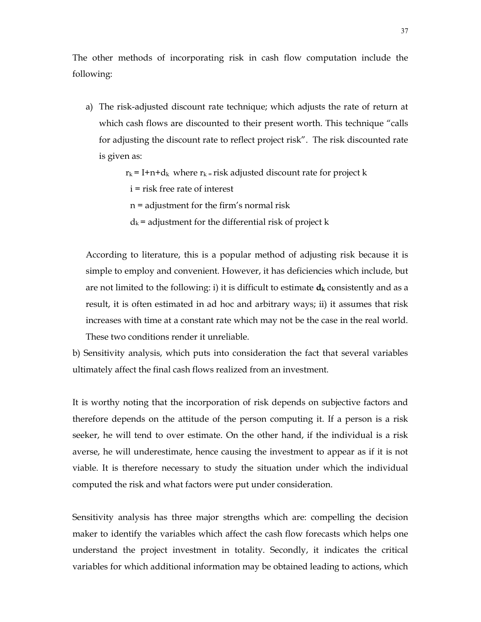The other methods of incorporating risk in cash flow computation include the following:

a) The risk-adjusted discount rate technique; which adjusts the rate of return at which cash flows are discounted to their present worth. This technique "calls for adjusting the discount rate to reflect project risk". The risk discounted rate is given as:

 $r_k = I + n + d_k$  where  $r_k =$  risk adjusted discount rate for project k

i = risk free rate of interest

n = adjustment for the firm's normal risk

 $d_k$  = adjustment for the differential risk of project k

According to literature, this is a popular method of adjusting risk because it is simple to employ and convenient. However, it has deficiencies which include, but are not limited to the following: i) it is difficult to estimate  $d_k$  consistently and as a result, it is often estimated in ad hoc and arbitrary ways; ii) it assumes that risk increases with time at a constant rate which may not be the case in the real world. These two conditions render it unreliable.

b) Sensitivity analysis, which puts into consideration the fact that several variables ultimately affect the final cash flows realized from an investment.

It is worthy noting that the incorporation of risk depends on subjective factors and therefore depends on the attitude of the person computing it. If a person is a risk seeker, he will tend to over estimate. On the other hand, if the individual is a risk averse, he will underestimate, hence causing the investment to appear as if it is not viable. It is therefore necessary to study the situation under which the individual computed the risk and what factors were put under consideration.

Sensitivity analysis has three major strengths which are: compelling the decision maker to identify the variables which affect the cash flow forecasts which helps one understand the project investment in totality. Secondly, it indicates the critical variables for which additional information may be obtained leading to actions, which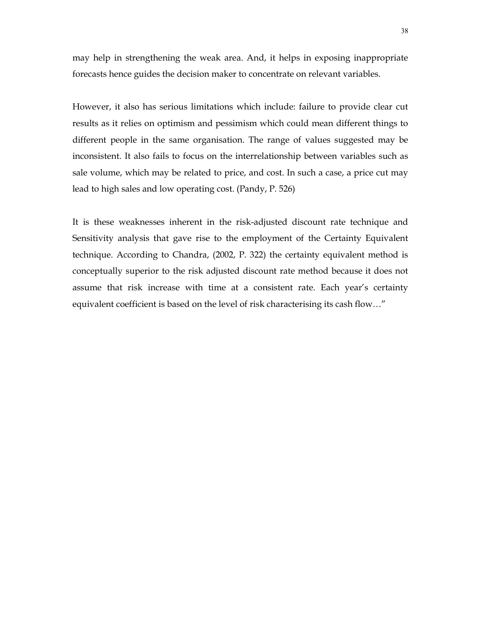may help in strengthening the weak area. And, it helps in exposing inappropriate forecasts hence guides the decision maker to concentrate on relevant variables.

However, it also has serious limitations which include: failure to provide clear cut results as it relies on optimism and pessimism which could mean different things to different people in the same organisation. The range of values suggested may be inconsistent. It also fails to focus on the interrelationship between variables such as sale volume, which may be related to price, and cost. In such a case, a price cut may lead to high sales and low operating cost. (Pandy, P. 526)

It is these weaknesses inherent in the risk-adjusted discount rate technique and Sensitivity analysis that gave rise to the employment of the Certainty Equivalent technique. According to Chandra, (2002, P. 322) the certainty equivalent method is conceptually superior to the risk adjusted discount rate method because it does not assume that risk increase with time at a consistent rate. Each year's certainty equivalent coefficient is based on the level of risk characterising its cash flow…"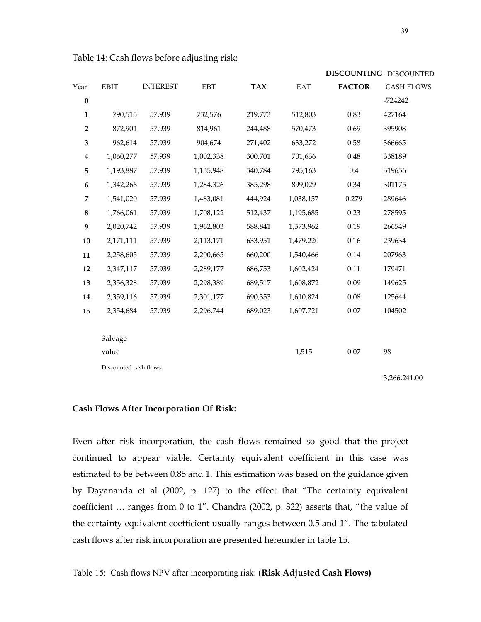|                         |                       |                 |            |            |           |               | DISCOUNTING DISCOUNTED |
|-------------------------|-----------------------|-----------------|------------|------------|-----------|---------------|------------------------|
| Year                    | <b>EBIT</b>           | <b>INTEREST</b> | <b>EBT</b> | <b>TAX</b> | EAT       | <b>FACTOR</b> | <b>CASH FLOWS</b>      |
| $\pmb{0}$               |                       |                 |            |            |           |               | $-724242$              |
| $\mathbf{1}$            | 790,515               | 57,939          | 732,576    | 219,773    | 512,803   | 0.83          | 427164                 |
| $\overline{\mathbf{2}}$ | 872,901               | 57,939          | 814,961    | 244,488    | 570,473   | 0.69          | 395908                 |
| 3                       | 962,614               | 57,939          | 904,674    | 271,402    | 633,272   | 0.58          | 366665                 |
| $\overline{\mathbf{4}}$ | 1,060,277             | 57,939          | 1,002,338  | 300,701    | 701,636   | 0.48          | 338189                 |
| 5                       | 1,193,887             | 57,939          | 1,135,948  | 340,784    | 795,163   | 0.4           | 319656                 |
| 6                       | 1,342,266             | 57,939          | 1,284,326  | 385,298    | 899,029   | 0.34          | 301175                 |
| 7                       | 1,541,020             | 57,939          | 1,483,081  | 444,924    | 1,038,157 | 0.279         | 289646                 |
| $\bf 8$                 | 1,766,061             | 57,939          | 1,708,122  | 512,437    | 1,195,685 | 0.23          | 278595                 |
| 9                       | 2,020,742             | 57,939          | 1,962,803  | 588,841    | 1,373,962 | 0.19          | 266549                 |
| 10                      | 2,171,111             | 57,939          | 2,113,171  | 633,951    | 1,479,220 | $0.16\,$      | 239634                 |
| 11                      | 2,258,605             | 57,939          | 2,200,665  | 660,200    | 1,540,466 | $0.14\,$      | 207963                 |
| 12                      | 2,347,117             | 57,939          | 2,289,177  | 686,753    | 1,602,424 | 0.11          | 179471                 |
| 13                      | 2,356,328             | 57,939          | 2,298,389  | 689,517    | 1,608,872 | 0.09          | 149625                 |
| 14                      | 2,359,116             | 57,939          | 2,301,177  | 690,353    | 1,610,824 | 0.08          | 125644                 |
| 15                      | 2,354,684             | 57,939          | 2,296,744  | 689,023    | 1,607,721 | $0.07\,$      | 104502                 |
|                         |                       |                 |            |            |           |               |                        |
|                         | Salvage               |                 |            |            |           |               |                        |
|                         | value                 |                 |            |            | 1,515     | $0.07\,$      | 98                     |
|                         | Discounted cash flows |                 |            |            |           |               |                        |
|                         |                       |                 |            |            |           |               | 3,266,241.00           |

Table 14: Cash flows before adjusting risk:

#### Cash Flows After Incorporation Of Risk:

Even after risk incorporation, the cash flows remained so good that the project continued to appear viable. Certainty equivalent coefficient in this case was estimated to be between 0.85 and 1. This estimation was based on the guidance given by Dayananda et al (2002, p. 127) to the effect that "The certainty equivalent coefficient … ranges from 0 to 1". Chandra (2002, p. 322) asserts that, "the value of the certainty equivalent coefficient usually ranges between 0.5 and 1". The tabulated cash flows after risk incorporation are presented hereunder in table 15.

Table 15: Cash flows NPV after incorporating risk: (Risk Adjusted Cash Flows)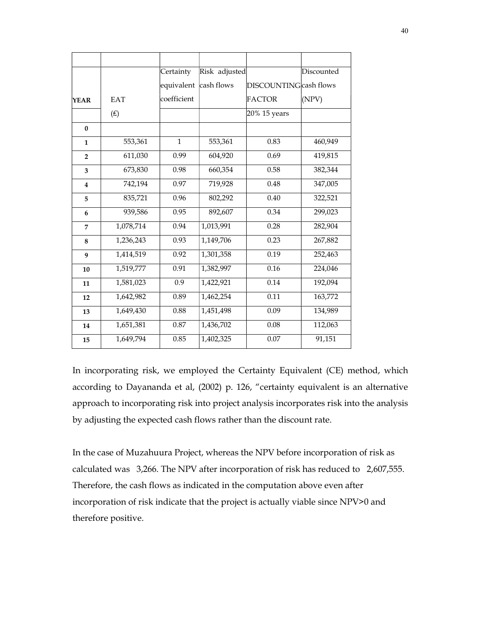|                  |                | Certainty    | Risk adjusted |                        | Discounted |
|------------------|----------------|--------------|---------------|------------------------|------------|
|                  |                | equivalent   | cash flows    | DISCOUNTING cash flows |            |
| <b>YEAR</b>      | <b>EAT</b>     | coefficient  |               | FACTOR                 | (NPV)      |
|                  | $(\textbf{f})$ |              |               | 20% 15 years           |            |
| $\bf{0}$         |                |              |               |                        |            |
| $\mathbf{1}$     | 553,361        | $\mathbf{1}$ | 553,361       | 0.83                   | 460,949    |
| $\overline{2}$   | 611,030        | 0.99         | 604,920       | 0.69                   | 419,815    |
| 3                | 673,830        | 0.98         | 660,354       | 0.58                   | 382,344    |
| $\boldsymbol{4}$ | 742,194        | 0.97         | 719,928       | 0.48                   | 347,005    |
| 5                | 835,721        | 0.96         | 802,292       | 0.40                   | 322,521    |
| 6                | 939,586        | 0.95         | 892,607       | 0.34                   | 299,023    |
| 7                | 1,078,714      | 0.94         | 1,013,991     | 0.28                   | 282,904    |
| 8                | 1,236,243      | 0.93         | 1,149,706     | 0.23                   | 267,882    |
| 9                | 1,414,519      | 0.92         | 1,301,358     | 0.19                   | 252,463    |
| 10               | 1,519,777      | 0.91         | 1,382,997     | 0.16                   | 224,046    |
| 11               | 1,581,023      | 0.9          | 1,422,921     | 0.14                   | 192,094    |
| 12               | 1,642,982      | 0.89         | 1,462,254     | 0.11                   | 163,772    |
| 13               | 1,649,430      | 0.88         | 1,451,498     | 0.09                   | 134,989    |
| 14               | 1,651,381      | 0.87         | 1,436,702     | 0.08                   | 112,063    |
| 15               | 1,649,794      | 0.85         | 1,402,325     | 0.07                   | 91,151     |
|                  |                |              |               |                        |            |

In incorporating risk, we employed the Certainty Equivalent (CE) method, which according to Dayananda et al, (2002) p. 126, "certainty equivalent is an alternative approach to incorporating risk into project analysis incorporates risk into the analysis by adjusting the expected cash flows rather than the discount rate.

In the case of Muzahuura Project, whereas the NPV before incorporation of risk as calculated was 3,266. The NPV after incorporation of risk has reduced to 2,607,555. Therefore, the cash flows as indicated in the computation above even after incorporation of risk indicate that the project is actually viable since NPV>0 and therefore positive.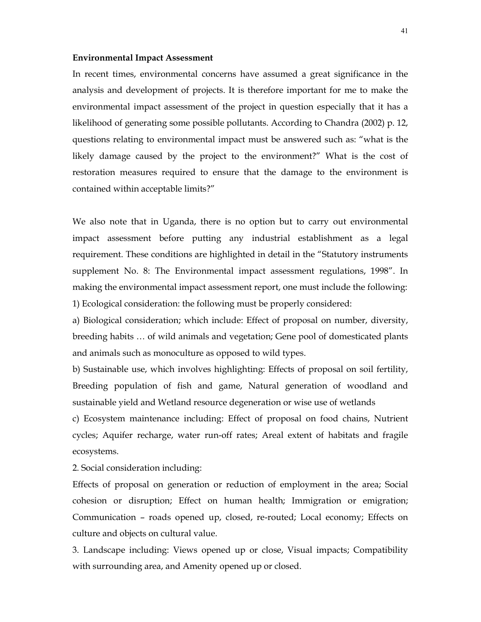#### Environmental Impact Assessment

In recent times, environmental concerns have assumed a great significance in the analysis and development of projects. It is therefore important for me to make the environmental impact assessment of the project in question especially that it has a likelihood of generating some possible pollutants. According to Chandra (2002) p. 12, questions relating to environmental impact must be answered such as: "what is the likely damage caused by the project to the environment?" What is the cost of restoration measures required to ensure that the damage to the environment is contained within acceptable limits?"

We also note that in Uganda, there is no option but to carry out environmental impact assessment before putting any industrial establishment as a legal requirement. These conditions are highlighted in detail in the "Statutory instruments supplement No. 8: The Environmental impact assessment regulations, 1998". In making the environmental impact assessment report, one must include the following: 1) Ecological consideration: the following must be properly considered:

a) Biological consideration; which include: Effect of proposal on number, diversity, breeding habits … of wild animals and vegetation; Gene pool of domesticated plants and animals such as monoculture as opposed to wild types.

b) Sustainable use, which involves highlighting: Effects of proposal on soil fertility, Breeding population of fish and game, Natural generation of woodland and sustainable yield and Wetland resource degeneration or wise use of wetlands

c) Ecosystem maintenance including: Effect of proposal on food chains, Nutrient cycles; Aquifer recharge, water run-off rates; Areal extent of habitats and fragile ecosystems.

2. Social consideration including:

Effects of proposal on generation or reduction of employment in the area; Social cohesion or disruption; Effect on human health; Immigration or emigration; Communication – roads opened up, closed, re-routed; Local economy; Effects on culture and objects on cultural value.

3. Landscape including: Views opened up or close, Visual impacts; Compatibility with surrounding area, and Amenity opened up or closed.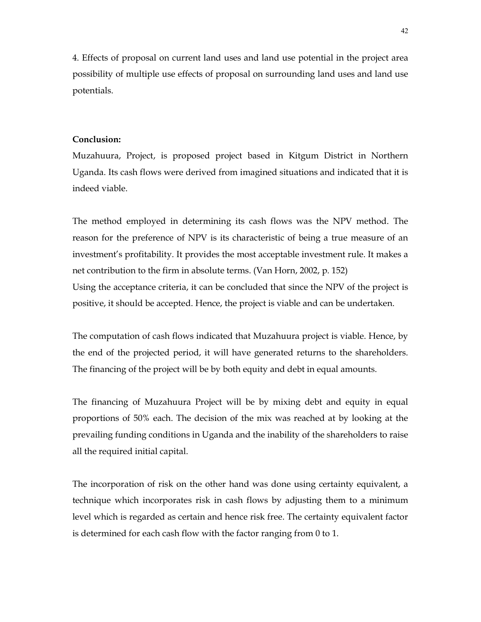4. Effects of proposal on current land uses and land use potential in the project area possibility of multiple use effects of proposal on surrounding land uses and land use potentials.

#### Conclusion:

Muzahuura, Project, is proposed project based in Kitgum District in Northern Uganda. Its cash flows were derived from imagined situations and indicated that it is indeed viable.

The method employed in determining its cash flows was the NPV method. The reason for the preference of NPV is its characteristic of being a true measure of an investment's profitability. It provides the most acceptable investment rule. It makes a net contribution to the firm in absolute terms. (Van Horn, 2002, p. 152) Using the acceptance criteria, it can be concluded that since the NPV of the project is positive, it should be accepted. Hence, the project is viable and can be undertaken.

The computation of cash flows indicated that Muzahuura project is viable. Hence, by the end of the projected period, it will have generated returns to the shareholders. The financing of the project will be by both equity and debt in equal amounts.

The financing of Muzahuura Project will be by mixing debt and equity in equal proportions of 50% each. The decision of the mix was reached at by looking at the prevailing funding conditions in Uganda and the inability of the shareholders to raise all the required initial capital.

The incorporation of risk on the other hand was done using certainty equivalent, a technique which incorporates risk in cash flows by adjusting them to a minimum level which is regarded as certain and hence risk free. The certainty equivalent factor is determined for each cash flow with the factor ranging from 0 to 1.